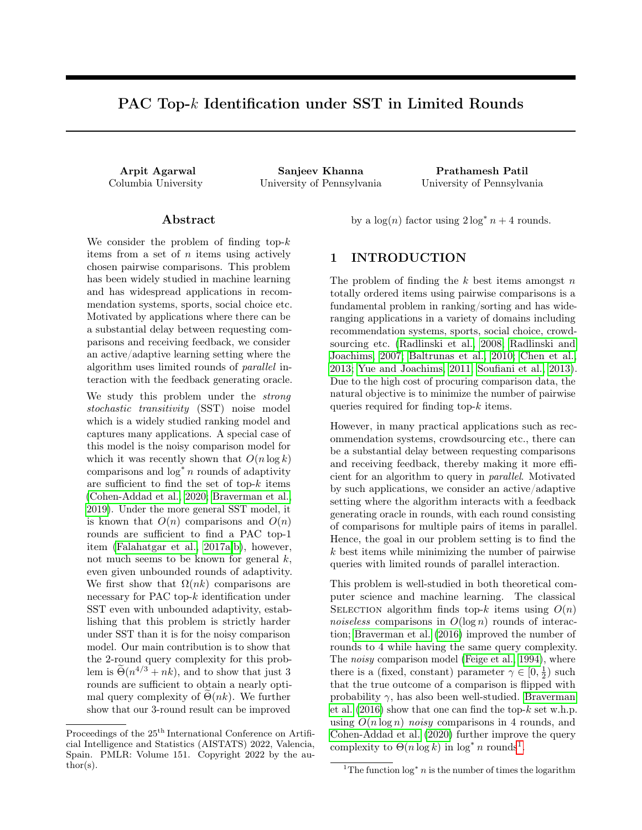# PAC Top-k Identification under SST in Limited Rounds

Arpit Agarwal Sanjeev Khanna Prathamesh Patil Columbia University University of Pennsylvania University of Pennsylvania

#### Abstract

We consider the problem of finding top- $k$ items from a set of  $n$  items using actively chosen pairwise comparisons. This problem has been widely studied in machine learning and has widespread applications in recommendation systems, sports, social choice etc. Motivated by applications where there can be a substantial delay between requesting comparisons and receiving feedback, we consider an active/adaptive learning setting where the algorithm uses limited rounds of parallel interaction with the feedback generating oracle.

We study this problem under the strong stochastic transitivity (SST) noise model which is a widely studied ranking model and captures many applications. A special case of this model is the noisy comparison model for which it was recently shown that  $O(n \log k)$ comparisons and  $log^* n$  rounds of adaptivity are sufficient to find the set of top- $k$  items [\(Cohen-Addad et al., 2020;](#page-9-0) [Braverman et al.,](#page-9-1) [2019\)](#page-9-1). Under the more general SST model, it is known that  $O(n)$  comparisons and  $O(n)$ rounds are sufficient to find a PAC top-1 item [\(Falahatgar et al., 2017a,](#page-9-2)[b\)](#page-10-0), however, not much seems to be known for general  $k$ , even given unbounded rounds of adaptivity. We first show that  $\Omega(nk)$  comparisons are necessary for PAC top-k identification under SST even with unbounded adaptivity, establishing that this problem is strictly harder under SST than it is for the noisy comparison model. Our main contribution is to show that the 2-round query complexity for this problem is  $\tilde{\Theta}(n^{4/3} + nk)$ , and to show that just 3 rounds are sufficient to obtain a nearly optimal query complexity of  $\Theta(nk)$ . We further show that our 3-round result can be improved

by a  $\log(n)$  factor using  $2 \log^* n + 4$  rounds.

## <span id="page-0-1"></span>1 INTRODUCTION

The problem of finding the  $k$  best items amongst  $n$ totally ordered items using pairwise comparisons is a fundamental problem in ranking/sorting and has wideranging applications in a variety of domains including recommendation systems, sports, social choice, crowdsourcing etc. [\(Radlinski et al., 2008;](#page-10-1) [Radlinski and](#page-10-2) [Joachims, 2007;](#page-10-2) [Baltrunas et al., 2010;](#page-9-3) [Chen et al.,](#page-9-4) [2013;](#page-9-4) [Yue and Joachims, 2011;](#page-10-3) [Soufiani et al., 2013\)](#page-10-4). Due to the high cost of procuring comparison data, the natural objective is to minimize the number of pairwise queries required for finding top-k items.

However, in many practical applications such as recommendation systems, crowdsourcing etc., there can be a substantial delay between requesting comparisons and receiving feedback, thereby making it more efficient for an algorithm to query in parallel. Motivated by such applications, we consider an active/adaptive setting where the algorithm interacts with a feedback generating oracle in rounds, with each round consisting of comparisons for multiple pairs of items in parallel. Hence, the goal in our problem setting is to find the k best items while minimizing the number of pairwise queries with limited rounds of parallel interaction.

This problem is well-studied in both theoretical computer science and machine learning. The classical SELECTION algorithm finds top-k items using  $O(n)$ noiseless comparisons in  $O(\log n)$  rounds of interaction; [Braverman et al.](#page-9-5) [\(2016\)](#page-9-5) improved the number of rounds to 4 while having the same query complexity. The noisy comparison model [\(Feige et al., 1994\)](#page-10-5), where there is a (fixed, constant) parameter  $\gamma \in [0, \frac{1}{2})$  such that the true outcome of a comparison is flipped with probability  $\gamma$ , has also been well-studied. [Braverman](#page-9-5) [et al.](#page-9-5)  $(2016)$  show that one can find the top- $k$  set w.h.p. using  $O(n \log n)$  noisy comparisons in 4 rounds, and [Cohen-Addad et al.](#page-9-0) [\(2020\)](#page-9-0) further improve the query complexity to  $\Theta(n \log k)$  in  $\log^* n$  rounds<sup>[1](#page-0-0)</sup>.

Proceedings of the  $25^{\mathrm{th}}$  International Conference on Artificial Intelligence and Statistics (AISTATS) 2022, Valencia, Spain. PMLR: Volume 151. Copyright 2022 by the author(s).

<span id="page-0-0"></span><sup>&</sup>lt;sup>1</sup>The function  $\log^* n$  is the number of times the logarithm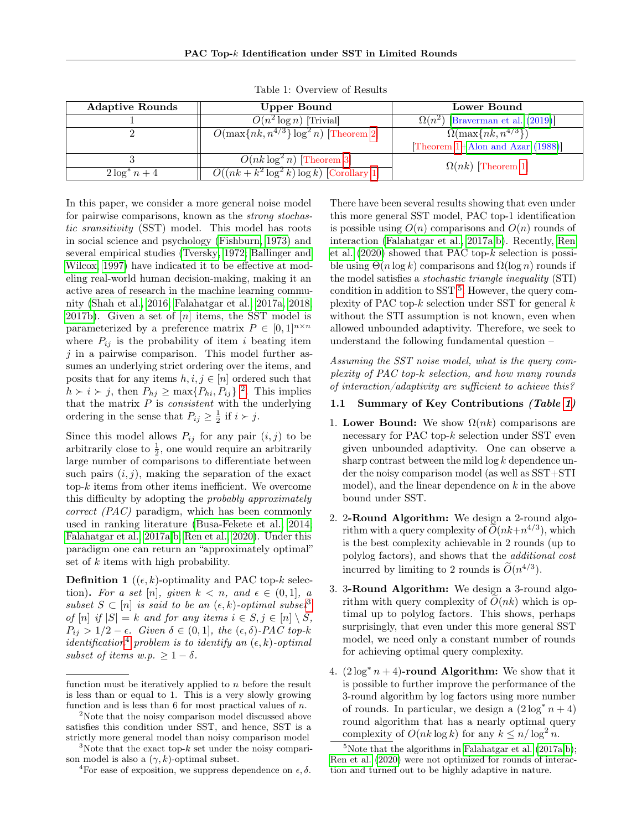| <b>Adaptive Rounds</b> | Upper Bound                                          | Lower Bound                             |  |
|------------------------|------------------------------------------------------|-----------------------------------------|--|
|                        | $O(n^2 \log n)$ [Trivial]                            | $\Omega(n^2)$ [Braverman et al. (2019)] |  |
|                        | $O(\max\{nk, n^{4/3}\} \log^2 n)$ [Theorem 2]        | $\Omega(\max\{nk, n^{4/3}\})$           |  |
|                        |                                                      | [Theorem 1+Alon and Azar $(1988)$ ]     |  |
|                        | $O(nk \log^2 n)$ [Theorem 3]                         | $\Omega(nk)$ [Theorem 1]                |  |
| $2\log^* n + 4$        | $\overline{O((nk+k^2\log^2 k)}\log k)$ [Corollary 1] |                                         |  |

<span id="page-1-4"></span>Table 1: Overview of Results

In this paper, we consider a more general noise model for pairwise comparisons, known as the *strong stochas*tic sransitivity (SST) model. This model has roots in social science and psychology [\(Fishburn, 1973\)](#page-10-6) and several empirical studies [\(Tversky, 1972;](#page-10-7) [Ballinger and](#page-9-7) [Wilcox, 1997\)](#page-9-7) have indicated it to be effective at modeling real-world human decision-making, making it an active area of research in the machine learning community [\(Shah et al., 2016;](#page-10-8) [Falahatgar et al., 2017a,](#page-9-2) [2018,](#page-9-8) [2017b\)](#page-10-0). Given a set of  $[n]$  items, the SST model is parameterized by a preference matrix  $P \in [0,1]^{n \times n}$ where  $P_{ij}$  is the probability of item i beating item  $j$  in a pairwise comparison. This model further assumes an underlying strict ordering over the items, and posits that for any items  $h, i, j \in [n]$  ordered such that  $h \succ i \succ j$ , then  $P_{hj} \ge \max\{P_{hi}, P_{ij}\}$ <sup>[2](#page-1-0)</sup>. This implies that the matrix  $P$  is *consistent* with the underlying ordering in the sense that  $P_{ij} \geq \frac{1}{2}$  if  $i \succ j$ .

Since this model allows  $P_{ij}$  for any pair  $(i, j)$  to be arbitrarily close to  $\frac{1}{2}$ , one would require an arbitrarily large number of comparisons to differentiate between such pairs  $(i, j)$ , making the separation of the exact top-k items from other items inefficient. We overcome this difficulty by adopting the probably approximately correct (PAC) paradigm, which has been commonly used in ranking literature [\(Busa-Fekete et al., 2014;](#page-9-9) [Falahatgar et al., 2017a,](#page-9-2)[b;](#page-10-0) [Ren et al., 2020\)](#page-10-9). Under this paradigm one can return an "approximately optimal" set of k items with high probability.

**Definition 1** ( $(\epsilon, k)$ -optimality and PAC top-k selection). For a set [n], given  $k < n$ , and  $\epsilon \in (0, 1]$ , a subset  $S \subset [n]$  is said to be an  $(\epsilon, k)$ -optimal subset<sup>[3](#page-1-1)</sup> of  $[n]$  if  $|S| = k$  and for any items  $i \in S, j \in [n] \setminus S$ ,  $P_{ij} > 1/2 - \epsilon$ . Given  $\delta \in (0,1]$ , the  $(\epsilon, \delta)$ -PAC top-k identification<sup>[4](#page-1-2)</sup> problem is to identify an  $(\epsilon, k)$ -optimal subset of items w.p.  $\geq 1 - \delta$ .

There have been several results showing that even under this more general SST model, PAC top-1 identification is possible using  $O(n)$  comparisons and  $O(n)$  rounds of interaction [\(Falahatgar et al., 2017a,](#page-9-2)[b\)](#page-10-0). Recently, [Ren](#page-10-9) [et al.](#page-10-9)  $(2020)$  showed that PAC top- $k$  selection is possible using  $\Theta(n \log k)$  comparisons and  $\Omega(\log n)$  rounds if the model satisfies a stochastic triangle inequality (STI) condition in addition to SST  $<sup>5</sup>$  $<sup>5</sup>$  $<sup>5</sup>$ . However, the query com-</sup> plexity of PAC top- $k$  selection under SST for general  $k$ without the STI assumption is not known, even when allowed unbounded adaptivity. Therefore, we seek to understand the following fundamental question –

Assuming the SST noise model, what is the query complexity of PAC top-k selection, and how many rounds of interaction/adaptivity are sufficient to achieve this?

#### 1.1 Summary of Key Contributions (Table [1\)](#page-1-4)

- 1. Lower Bound: We show  $\Omega(nk)$  comparisons are necessary for PAC top- $k$  selection under SST even given unbounded adaptivity. One can observe a sharp contrast between the mild  $\log k$  dependence under the noisy comparison model (as well as SST+STI model), and the linear dependence on  $k$  in the above bound under SST.
- 2. 2-Round Algorithm: We design a 2-round algorithm with a query complexity of  $\tilde{O}(nk+n^{4/3})$ , which is the best complexity achievable in 2 rounds (up to polylog factors), and shows that the additional cost incurred by limiting to 2 rounds is  $\widetilde{O}(n^{4/3})$ .
- 3. 3-Round Algorithm: We design a 3-round algorithm with query complexity of  $O(nk)$  which is optimal up to polylog factors. This shows, perhaps surprisingly, that even under this more general SST model, we need only a constant number of rounds for achieving optimal query complexity.
- 4.  $(2 \log^* n + 4)$ -round Algorithm: We show that it is possible to further improve the performance of the 3-round algorithm by log factors using more number of rounds. In particular, we design a  $(2 \log^* n + 4)$ round algorithm that has a nearly optimal query complexity of  $O(nk \log k)$  for any  $k \leq n/\log^2 n$ .

function must be iteratively applied to  $n$  before the result is less than or equal to 1. This is a very slowly growing function and is less than 6 for most practical values of  $n$ .

<span id="page-1-0"></span><sup>&</sup>lt;sup>2</sup>Note that the noisy comparison model discussed above satisfies this condition under SST, and hence, SST is a strictly more general model than noisy comparison model

<span id="page-1-1"></span><sup>&</sup>lt;sup>3</sup>Note that the exact top- $k$  set under the noisy comparison model is also a  $(\gamma, k)$ -optimal subset.

<span id="page-1-2"></span><sup>&</sup>lt;sup>4</sup>For ease of exposition, we suppress dependence on  $\epsilon$ ,  $\delta$ .

<span id="page-1-3"></span> $5$ Note that the algorithms in [Falahatgar et al.](#page-9-2)  $(2017a,b)$  $(2017a,b)$ ; [Ren et al.](#page-10-9) [\(2020\)](#page-10-9) were not optimized for rounds of interaction and turned out to be highly adaptive in nature.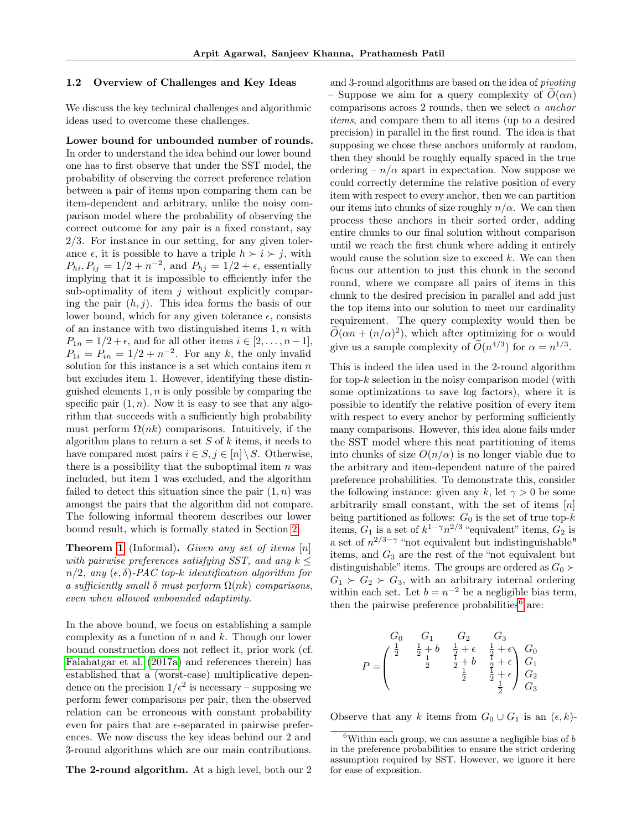#### 1.2 Overview of Challenges and Key Ideas

We discuss the key technical challenges and algorithmic ideas used to overcome these challenges.

Lower bound for unbounded number of rounds. In order to understand the idea behind our lower bound one has to first observe that under the SST model, the probability of observing the correct preference relation between a pair of items upon comparing them can be item-dependent and arbitrary, unlike the noisy comparison model where the probability of observing the correct outcome for any pair is a fixed constant, say 2/3. For instance in our setting, for any given tolerance  $\epsilon$ , it is possible to have a triple  $h \succ i \succ j$ , with  $P_{hi}, P_{ij} = 1/2 + n^{-2}$ , and  $P_{hj} = 1/2 + \epsilon$ , essentially implying that it is impossible to efficiently infer the sub-optimality of item  $j$  without explicitly comparing the pair  $(h, j)$ . This idea forms the basis of our lower bound, which for any given tolerance  $\epsilon$ , consists of an instance with two distinguished items  $1, n$  with  $P_{1n} = 1/2 + \epsilon$ , and for all other items  $i \in [2, \ldots, n-1]$ ,  $P_{1i} = P_{in} = 1/2 + n^{-2}$ . For any k, the only invalid solution for this instance is a set which contains item  $n$ but excludes item 1. However, identifying these distinguished elements  $1, n$  is only possible by comparing the specific pair  $(1, n)$ . Now it is easy to see that any algorithm that succeeds with a sufficiently high probability must perform  $\Omega(nk)$  comparisons. Intuitively, if the algorithm plans to return a set  $S$  of  $k$  items, it needs to have compared most pairs  $i \in S, j \in [n] \setminus S$ . Otherwise, there is a possibility that the suboptimal item  $n$  was included, but item 1 was excluded, and the algorithm failed to detect this situation since the pair  $(1, n)$  was amongst the pairs that the algorithm did not compare. The following informal theorem describes our lower bound result, which is formally stated in Section [2.](#page-5-1)

**Theorem [1](#page-5-0)** (Informal). Given any set of items  $[n]$ with pairwise preferences satisfying SST, and any  $k \leq$  $n/2$ , any  $(\epsilon, \delta)$ -PAC top-k identification algorithm for a sufficiently small  $\delta$  must perform  $\Omega(nk)$  comparisons, even when allowed unbounded adaptivity.

In the above bound, we focus on establishing a sample complexity as a function of  $n$  and  $k$ . Though our lower bound construction does not reflect it, prior work (cf. [Falahatgar et al.](#page-9-2) [\(2017a\)](#page-9-2) and references therein) has established that a (worst-case) multiplicative dependence on the precision  $1/\epsilon^2$  is necessary – supposing we perform fewer comparisons per pair, then the observed relation can be erroneous with constant probability even for pairs that are  $\epsilon$ -separated in pairwise preferences. We now discuss the key ideas behind our 2 and 3-round algorithms which are our main contributions.

The 2-round algorithm. At a high level, both our 2

and 3-round algorithms are based on the idea of pivoting – Suppose we aim for a query complexity of  $O(\alpha n)$ comparisons across 2 rounds, then we select  $\alpha$  anchor items, and compare them to all items (up to a desired precision) in parallel in the first round. The idea is that supposing we chose these anchors uniformly at random, then they should be roughly equally spaced in the true ordering –  $n/\alpha$  apart in expectation. Now suppose we could correctly determine the relative position of every item with respect to every anchor, then we can partition our items into chunks of size roughly  $n/\alpha$ . We can then process these anchors in their sorted order, adding entire chunks to our final solution without comparison until we reach the first chunk where adding it entirely would cause the solution size to exceed  $k$ . We can then focus our attention to just this chunk in the second round, where we compare all pairs of items in this chunk to the desired precision in parallel and add just the top items into our solution to meet our cardinality requirement. The query complexity would then be  $\widetilde{O}(\alpha n + (n/\alpha)^2)$ , which after optimizing for  $\alpha$  would give us a sample complexity of  $\tilde{O}(n^{4/3})$  for  $\alpha = n^{1/3}$ .

This is indeed the idea used in the 2-round algorithm for top- $k$  selection in the noisy comparison model (with some optimizations to save log factors), where it is possible to identify the relative position of every item with respect to every anchor by performing sufficiently many comparisons. However, this idea alone fails under the SST model where this neat partitioning of items into chunks of size  $O(n/\alpha)$  is no longer viable due to the arbitrary and item-dependent nature of the paired preference probabilities. To demonstrate this, consider the following instance: given any k, let  $\gamma > 0$  be some arbitrarily small constant, with the set of items  $[n]$ being partitioned as follows:  $G_0$  is the set of true top- $k$ items,  $G_1$  is a set of  $k^{1-\gamma} n^{2/3}$  "equivalent" items,  $G_2$  is a set of  $n^{2/3-\gamma}$  "not equivalent but indistinguishable" items, and  $G_3$  are the rest of the "not equivalent but distinguishable" items. The groups are ordered as  $G_0 \succ$  $G_1 \succ G_2 \succ G_3$ , with an arbitrary internal ordering within each set. Let  $b = n^{-2}$  be a negligible bias term, then the pairwise preference probabilities $6$  are:

$$
P = \begin{pmatrix} G_0 & G_1 & G_2 & G_3 \\ \frac{1}{2} & \frac{1}{2} + b & \frac{1}{2} + \epsilon & \frac{1}{2} + \epsilon \\ & \frac{1}{2} & \frac{1}{2} + b & \frac{1}{2} + \epsilon \\ & & \frac{1}{2} & \frac{1}{2} + \epsilon & G_2 \\ & & & \frac{1}{2} & G_3 \end{pmatrix}
$$

Observe that any k items from  $G_0 \cup G_1$  is an  $(\epsilon, k)$ -

<span id="page-2-0"></span><sup>&</sup>lt;sup>6</sup>Within each group, we can assume a negligible bias of  $b$ in the preference probabilities to ensure the strict ordering assumption required by SST. However, we ignore it here for ease of exposition.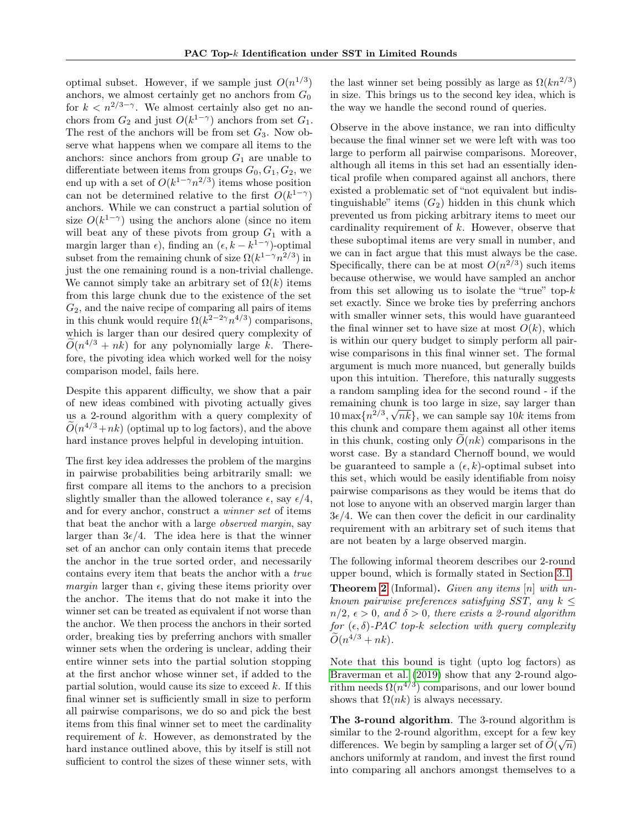optimal subset. However, if we sample just  $O(n^{1/3})$ anchors, we almost certainly get no anchors from  $G_0$ for  $k < n^{2/3-\gamma}$ . We almost certainly also get no anchors from  $G_2$  and just  $O(k^{1-\gamma})$  anchors from set  $G_1$ . The rest of the anchors will be from set  $G_3$ . Now observe what happens when we compare all items to the anchors: since anchors from group  $G_1$  are unable to differentiate between items from groups  $G_0, G_1, G_2$ , we end up with a set of  $O(k^{1-\gamma}n^{2/3})$  items whose position can not be determined relative to the first  $O(k^{1-\gamma})$ anchors. While we can construct a partial solution of size  $O(k^{1-\gamma})$  using the anchors alone (since no item will beat any of these pivots from group  $G_1$  with a margin larger than  $\epsilon$ ), finding an  $(\epsilon, k - k^{1-\gamma})$ -optimal subset from the remaining chunk of size  $\Omega(k^{1-\gamma}n^{2/3})$  in just the one remaining round is a non-trivial challenge. We cannot simply take an arbitrary set of  $\Omega(k)$  items from this large chunk due to the existence of the set  $G_2$ , and the naive recipe of comparing all pairs of items in this chunk would require  $\Omega(k^{2-2\gamma}n^{4/3})$  comparisons, which is larger than our desired query complexity of  $\widetilde{O}(n^{4/3} + nk)$  for any polynomially large k. Therefore, the pivoting idea which worked well for the noisy comparison model, fails here.

Despite this apparent difficulty, we show that a pair of new ideas combined with pivoting actually gives us a 2-round algorithm with a query complexity of  $\widetilde{O}(n^{4/3}+nk)$  (optimal up to log factors), and the above hard instance proves helpful in developing intuition.

The first key idea addresses the problem of the margins in pairwise probabilities being arbitrarily small: we first compare all items to the anchors to a precision slightly smaller than the allowed tolerance  $\epsilon$ , say  $\epsilon/4$ , and for every anchor, construct a winner set of items that beat the anchor with a large observed margin, say larger than  $3\epsilon/4$ . The idea here is that the winner set of an anchor can only contain items that precede the anchor in the true sorted order, and necessarily contains every item that beats the anchor with a true margin larger than  $\epsilon$ , giving these items priority over the anchor. The items that do not make it into the winner set can be treated as equivalent if not worse than the anchor. We then process the anchors in their sorted order, breaking ties by preferring anchors with smaller winner sets when the ordering is unclear, adding their entire winner sets into the partial solution stopping at the first anchor whose winner set, if added to the partial solution, would cause its size to exceed  $k$ . If this final winner set is sufficiently small in size to perform all pairwise comparisons, we do so and pick the best items from this final winner set to meet the cardinality requirement of  $k$ . However, as demonstrated by the hard instance outlined above, this by itself is still not sufficient to control the sizes of these winner sets, with

the last winner set being possibly as large as  $\Omega(kn^{2/3})$ in size. This brings us to the second key idea, which is the way we handle the second round of queries.

Observe in the above instance, we ran into difficulty because the final winner set we were left with was too large to perform all pairwise comparisons. Moreover, although all items in this set had an essentially identical profile when compared against all anchors, there existed a problematic set of "not equivalent but indistinguishable" items  $(G_2)$  hidden in this chunk which prevented us from picking arbitrary items to meet our cardinality requirement of  $k$ . However, observe that these suboptimal items are very small in number, and we can in fact argue that this must always be the case. Specifically, there can be at most  $O(n^{2/3})$  such items because otherwise, we would have sampled an anchor from this set allowing us to isolate the "true" top- $k$ set exactly. Since we broke ties by preferring anchors with smaller winner sets, this would have guaranteed the final winner set to have size at most  $O(k)$ , which is within our query budget to simply perform all pairwise comparisons in this final winner set. The formal argument is much more nuanced, but generally builds upon this intuition. Therefore, this naturally suggests a random sampling idea for the second round - if the remaining chunk is too large in size, say larger than √  $10 \max\{n^{2/3}, \sqrt{nk}\}\,$ , we can sample say  $10k$  items from this chunk and compare them against all other items in this chunk, costing only  $O(nk)$  comparisons in the worst case. By a standard Chernoff bound, we would be guaranteed to sample a  $(\epsilon, k)$ -optimal subset into this set, which would be easily identifiable from noisy pairwise comparisons as they would be items that do not lose to anyone with an observed margin larger than  $3\epsilon/4$ . We can then cover the deficit in our cardinality requirement with an arbitrary set of such items that are not beaten by a large observed margin.

The following informal theorem describes our 2-round upper bound, which is formally stated in Section [3.1.](#page-6-1) **Theorem [2](#page-6-0)** (Informal). Given any items  $[n]$  with unknown pairwise preferences satisfying SST, any  $k \leq$  $n/2$ ,  $\epsilon > 0$ , and  $\delta > 0$ , there exists a 2-round algorithm for  $(\epsilon, \delta)$ -PAC top-k selection with query complexity  $\widetilde{O}(n^{4/3}+nk).$ 

Note that this bound is tight (upto log factors) as [Braverman et al.](#page-9-1) [\(2019\)](#page-9-1) show that any 2-round algorithm needs  $\Omega(n^{4/3})$  comparisons, and our lower bound shows that  $\Omega(nk)$  is always necessary.

The 3-round algorithm. The 3-round algorithm is similar to the 2-round algorithm, except for a few key differences. We begin by sampling a larger set of  $O(\sqrt{n})$ anchors uniformly at random, and invest the first round into comparing all anchors amongst themselves to a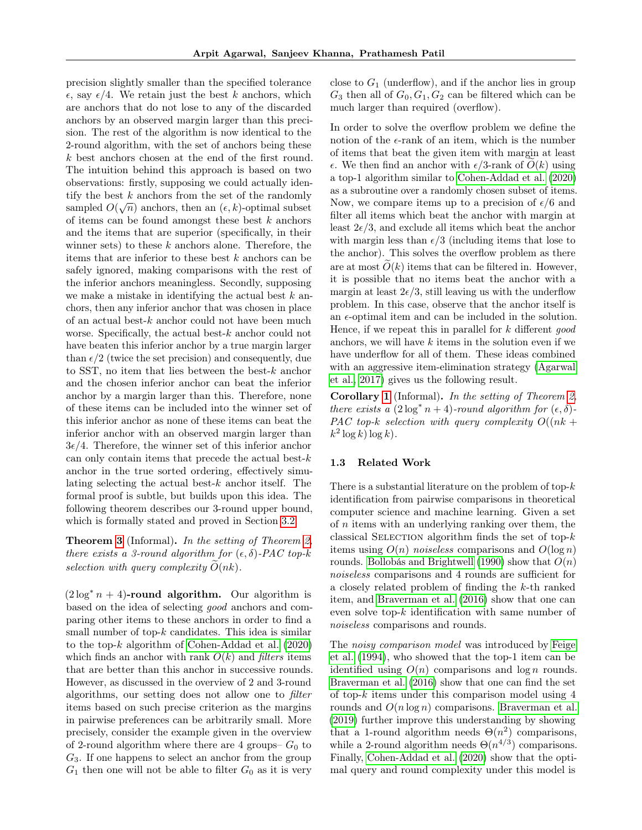precision slightly smaller than the specified tolerance  $\epsilon$ , say  $\epsilon/4$ . We retain just the best k anchors, which are anchors that do not lose to any of the discarded anchors by an observed margin larger than this precision. The rest of the algorithm is now identical to the 2-round algorithm, with the set of anchors being these k best anchors chosen at the end of the first round. The intuition behind this approach is based on two observations: firstly, supposing we could actually identify the best k anchors from the set of the randomly sampled  $O(\sqrt{n})$  anchors, then an  $(\epsilon, k)$ -optimal subset of items can be found amongst these best  $k$  anchors and the items that are superior (specifically, in their winner sets) to these  $k$  anchors alone. Therefore, the items that are inferior to these best  $k$  anchors can be safely ignored, making comparisons with the rest of the inferior anchors meaningless. Secondly, supposing we make a mistake in identifying the actual best  $k$  anchors, then any inferior anchor that was chosen in place of an actual best- $k$  anchor could not have been much worse. Specifically, the actual best- $k$  anchor could not have beaten this inferior anchor by a true margin larger than  $\epsilon/2$  (twice the set precision) and consequently, due to SST, no item that lies between the best- $k$  anchor and the chosen inferior anchor can beat the inferior anchor by a margin larger than this. Therefore, none of these items can be included into the winner set of this inferior anchor as none of these items can beat the inferior anchor with an observed margin larger than  $3\epsilon/4$ . Therefore, the winner set of this inferior anchor can only contain items that precede the actual best- $k$ anchor in the true sorted ordering, effectively simulating selecting the actual best- $k$  anchor itself. The formal proof is subtle, but builds upon this idea. The following theorem describes our 3-round upper bound, which is formally stated and proved in Section [3.2.](#page-7-1)

**Theorem [3](#page-7-0)** (Informal). In the setting of Theorem [2,](#page-6-0) there exists a 3-round algorithm for  $(\epsilon, \delta)$ -PAC top-k selection with query complexity  $\tilde{O}(nk)$ .

 $(2 \log^* n + 4)$ -round algorithm. Our algorithm is based on the idea of selecting good anchors and comparing other items to these anchors in order to find a small number of top- $k$  candidates. This idea is similar to the top- $k$  algorithm of [Cohen-Addad et al.](#page-9-0)  $(2020)$ which finds an anchor with rank  $O(k)$  and *filters* items that are better than this anchor in successive rounds. However, as discussed in the overview of 2 and 3-round algorithms, our setting does not allow one to filter items based on such precise criterion as the margins in pairwise preferences can be arbitrarily small. More precisely, consider the example given in the overview of 2-round algorithm where there are 4 groups–  $G_0$  to  $G_3$ . If one happens to select an anchor from the group  $G_1$  then one will not be able to filter  $G_0$  as it is very close to  $G_1$  (underflow), and if the anchor lies in group  $G_3$  then all of  $G_0, G_1, G_2$  can be filtered which can be much larger than required (overflow).

In order to solve the overflow problem we define the notion of the  $\epsilon$ -rank of an item, which is the number of items that beat the given item with margin at least  $\epsilon$ . We then find an anchor with  $\epsilon/3$ -rank of  $O(k)$  using a top-1 algorithm similar to [Cohen-Addad et al.](#page-9-0) [\(2020\)](#page-9-0) as a subroutine over a randomly chosen subset of items. Now, we compare items up to a precision of  $\epsilon/6$  and filter all items which beat the anchor with margin at least  $2\epsilon/3$ , and exclude all items which beat the anchor with margin less than  $\epsilon/3$  (including items that lose to the anchor). This solves the overflow problem as there are at most  $\tilde{O}(k)$  items that can be filtered in. However, it is possible that no items beat the anchor with a margin at least  $2\epsilon/3$ , still leaving us with the underflow problem. In this case, observe that the anchor itself is an  $\epsilon$ -optimal item and can be included in the solution. Hence, if we repeat this in parallel for  $k$  different good anchors, we will have  $k$  items in the solution even if we have underflow for all of them. These ideas combined with an aggressive item-elimination strategy [\(Agarwal](#page-9-10) [et al., 2017\)](#page-9-10) gives us the following result.

**Corollary [1](#page-8-0)** (Informal). In the setting of Theorem [2,](#page-6-0) there exists a  $(2 \log^* n + 4)$ -round algorithm for  $(\epsilon, \delta)$ -PAC top-k selection with query complexity  $O((nk +$  $k^2 \log k \log k$ .

#### 1.3 Related Work

There is a substantial literature on the problem of top- $k$ identification from pairwise comparisons in theoretical computer science and machine learning. Given a set of n items with an underlying ranking over them, the classical SELECTION algorithm finds the set of top- $k$ items using  $O(n)$  noiseless comparisons and  $O(\log n)$ rounds. [Bollobás and Brightwell](#page-9-11) [\(1990\)](#page-9-11) show that  $O(n)$ noiseless comparisons and 4 rounds are sufficient for a closely related problem of finding the k-th ranked item, and [Braverman et al.](#page-9-5) [\(2016\)](#page-9-5) show that one can even solve top- $k$  identification with same number of noiseless comparisons and rounds.

The noisy comparison model was introduced by [Feige](#page-10-5) [et al.](#page-10-5) [\(1994\)](#page-10-5), who showed that the top-1 item can be identified using  $O(n)$  comparisons and  $log n$  rounds. [Braverman et al.](#page-9-5) [\(2016\)](#page-9-5) show that one can find the set of top-k items under this comparison model using 4 rounds and  $O(n \log n)$  comparisons. [Braverman et al.](#page-9-1) [\(2019\)](#page-9-1) further improve this understanding by showing that a 1-round algorithm needs  $\Theta(n^2)$  comparisons, while a 2-round algorithm needs  $\Theta(n^{4/3})$  comparisons. Finally, [Cohen-Addad et al.](#page-9-0) [\(2020\)](#page-9-0) show that the optimal query and round complexity under this model is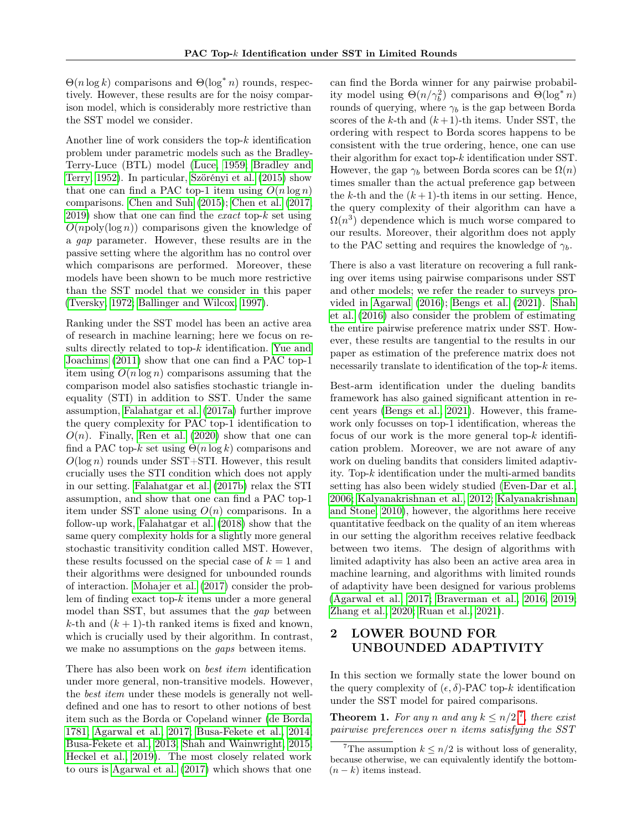Θ(n log k) comparisons and Θ(log<sup>∗</sup> n) rounds, respectively. However, these results are for the noisy comparison model, which is considerably more restrictive than the SST model we consider.

Another line of work considers the top- $k$  identification problem under parametric models such as the Bradley-Terry-Luce (BTL) model [\(Luce, 1959;](#page-10-10) [Bradley and](#page-9-12) [Terry, 1952\)](#page-9-12). In particular, [Szörényi et al.](#page-10-11) [\(2015\)](#page-10-11) show that one can find a PAC top-1 item using  $O(n \log n)$ comparisons. [Chen and Suh](#page-9-13) [\(2015\)](#page-9-13); [Chen et al.](#page-9-14) [\(2017,](#page-9-14)  $2019$ ) show that one can find the *exact* top-k set using  $O(npoly(\log n))$  comparisons given the knowledge of a gap parameter. However, these results are in the passive setting where the algorithm has no control over which comparisons are performed. Moreover, these models have been shown to be much more restrictive than the SST model that we consider in this paper [\(Tversky, 1972;](#page-10-7) [Ballinger and Wilcox, 1997\)](#page-9-7).

Ranking under the SST model has been an active area of research in machine learning; here we focus on results directly related to top-k identification. [Yue and](#page-10-3) [Joachims](#page-10-3) [\(2011\)](#page-10-3) show that one can find a PAC top-1 item using  $O(n \log n)$  comparisons assuming that the comparison model also satisfies stochastic triangle inequality (STI) in addition to SST. Under the same assumption, [Falahatgar et al.](#page-9-2) [\(2017a\)](#page-9-2) further improve the query complexity for PAC top-1 identification to  $O(n)$ . Finally, [Ren et al.](#page-10-9) [\(2020\)](#page-10-9) show that one can find a PAC top-k set using  $\Theta(n \log k)$  comparisons and  $O(\log n)$  rounds under SST+STI. However, this result crucially uses the STI condition which does not apply in our setting. [Falahatgar et al.](#page-10-0) [\(2017b\)](#page-10-0) relax the STI assumption, and show that one can find a PAC top-1 item under SST alone using  $O(n)$  comparisons. In a follow-up work, [Falahatgar et al.](#page-9-8) [\(2018\)](#page-9-8) show that the same query complexity holds for a slightly more general stochastic transitivity condition called MST. However, these results focussed on the special case of  $k = 1$  and their algorithms were designed for unbounded rounds of interaction. [Mohajer et al.](#page-10-12) [\(2017\)](#page-10-12) consider the problem of finding exact top- $k$  items under a more general model than SST, but assumes that the gap between k-th and  $(k+1)$ -th ranked items is fixed and known, which is crucially used by their algorithm. In contrast, we make no assumptions on the *gaps* between items.

There has also been work on best item identification under more general, non-transitive models. However, the *best item* under these models is generally not welldefined and one has to resort to other notions of best item such as the Borda or Copeland winner [\(de Borda,](#page-9-16) [1781;](#page-9-16) [Agarwal et al., 2017;](#page-9-10) [Busa-Fekete et al., 2014;](#page-9-9) [Busa-Fekete et al., 2013;](#page-9-17) [Shah and Wainwright, 2015;](#page-10-13) [Heckel et al., 2019\)](#page-10-14). The most closely related work to ours is [Agarwal et al.](#page-9-10) [\(2017\)](#page-9-10) which shows that one can find the Borda winner for any pairwise probability model using  $\Theta(n/\gamma_b^2)$  comparisons and  $\Theta(\log^* n)$ rounds of querying, where  $\gamma_b$  is the gap between Borda scores of the k-th and  $(k+1)$ -th items. Under SST, the ordering with respect to Borda scores happens to be consistent with the true ordering, hence, one can use their algorithm for exact top-k identification under SST. However, the gap  $\gamma_b$  between Borda scores can be  $\Omega(n)$ times smaller than the actual preference gap between the k-th and the  $(k+1)$ -th items in our setting. Hence, the query complexity of their algorithm can have a  $\Omega(n^3)$  dependence which is much worse compared to our results. Moreover, their algorithm does not apply to the PAC setting and requires the knowledge of  $\gamma_b$ .

There is also a vast literature on recovering a full ranking over items using pairwise comparisons under SST and other models; we refer the reader to surveys provided in [Agarwal](#page-9-18) [\(2016\)](#page-9-18); [Bengs et al.](#page-9-19) [\(2021\)](#page-9-19). [Shah](#page-10-8) [et al.](#page-10-8) [\(2016\)](#page-10-8) also consider the problem of estimating the entire pairwise preference matrix under SST. However, these results are tangential to the results in our paper as estimation of the preference matrix does not necessarily translate to identification of the top-k items.

Best-arm identification under the dueling bandits framework has also gained significant attention in recent years [\(Bengs et al., 2021\)](#page-9-19). However, this framework only focusses on top-1 identification, whereas the focus of our work is the more general top- $k$  identification problem. Moreover, we are not aware of any work on dueling bandits that considers limited adaptivity. Top- $k$  identification under the multi-armed bandits setting has also been widely studied [\(Even-Dar et al.,](#page-9-20) [2006;](#page-9-20) [Kalyanakrishnan et al., 2012;](#page-10-15) [Kalyanakrishnan](#page-10-16) [and Stone, 2010\)](#page-10-16), however, the algorithms here receive quantitative feedback on the quality of an item whereas in our setting the algorithm receives relative feedback between two items. The design of algorithms with limited adaptivity has also been an active area area in machine learning, and algorithms with limited rounds of adaptivity have been designed for various problems [\(Agarwal et al., 2017;](#page-9-10) [Braverman et al., 2016,](#page-9-5) [2019;](#page-9-1) [Zhang et al., 2020;](#page-10-17) [Ruan et al., 2021\)](#page-10-18).

# <span id="page-5-1"></span>2 LOWER BOUND FOR UNBOUNDED ADAPTIVITY

In this section we formally state the lower bound on the query complexity of  $(\epsilon, \delta)$ -PAC top-k identification under the SST model for paired comparisons.

<span id="page-5-0"></span>**Theorem 1.** For any n and any  $k \leq n/2,^7$  $k \leq n/2,^7$ , there exist pairwise preferences over n items satisfying the SST

<span id="page-5-2"></span><sup>&</sup>lt;sup>7</sup>The assumption  $k \leq n/2$  is without loss of generality, because otherwise, we can equivalently identify the bottom-  $(n - k)$  items instead.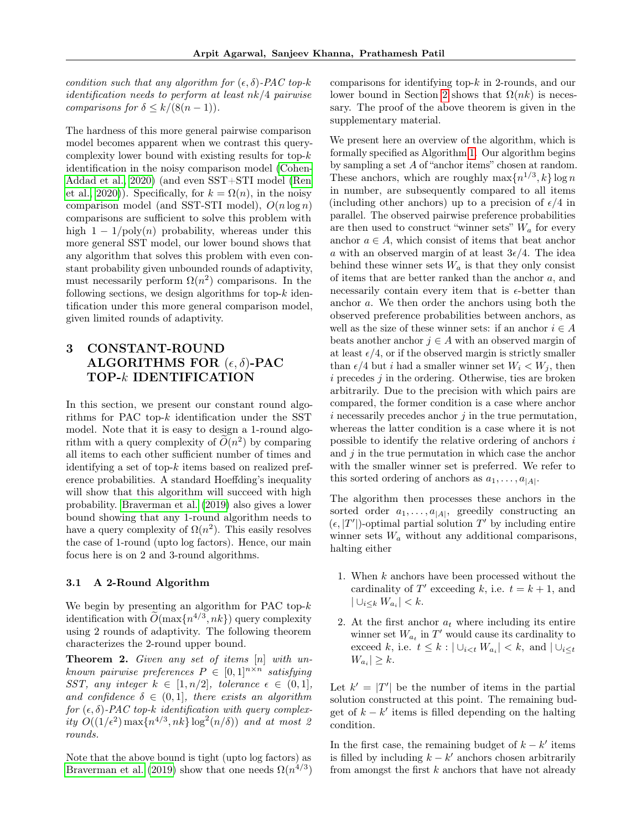condition such that any algorithm for  $(\epsilon, \delta)$ -PAC top-k identification needs to perform at least nk/4 pairwise comparisons for  $\delta \leq k/(8(n-1))$ .

The hardness of this more general pairwise comparison model becomes apparent when we contrast this querycomplexity lower bound with existing results for top- $k$ identification in the noisy comparison model [\(Cohen-](#page-9-0)[Addad et al., 2020\)](#page-9-0) (and even SST+STI model [\(Ren](#page-10-9) [et al., 2020\)](#page-10-9)). Specifically, for  $k = \Omega(n)$ , in the noisy comparison model (and SST-STI model),  $O(n \log n)$ comparisons are sufficient to solve this problem with high  $1 - 1/\text{poly}(n)$  probability, whereas under this more general SST model, our lower bound shows that any algorithm that solves this problem with even constant probability given unbounded rounds of adaptivity, must necessarily perform  $\Omega(n^2)$  comparisons. In the following sections, we design algorithms for top- $k$  identification under this more general comparison model, given limited rounds of adaptivity.

# 3 CONSTANT-ROUND ALGORITHMS FOR  $(\epsilon, \delta)$ -PAC TOP-k IDENTIFICATION

In this section, we present our constant round algorithms for PAC top-k identification under the SST model. Note that it is easy to design a 1-round algorithm with a query complexity of  $\widetilde{O}(n^2)$  by comparing all items to each other sufficient number of times and identifying a set of top-k items based on realized preference probabilities. A standard Hoeffding's inequality will show that this algorithm will succeed with high probability. [Braverman et al.](#page-9-1) [\(2019\)](#page-9-1) also gives a lower bound showing that any 1-round algorithm needs to have a query complexity of  $\Omega(n^2)$ . This easily resolves the case of 1-round (upto log factors). Hence, our main focus here is on 2 and 3-round algorithms.

#### <span id="page-6-1"></span>3.1 A 2-Round Algorithm

We begin by presenting an algorithm for PAC top- $k$ identification with  $O(\max\{n^{4/3}, nk\})$  query complexity using 2 rounds of adaptivity. The following theorem characterizes the 2-round upper bound.

<span id="page-6-0"></span>**Theorem 2.** Given any set of items  $[n]$  with unknown pairwise preferences  $P \in [0,1]^{n \times n}$  satisfying SST, any integer  $k \in [1, n/2]$ , tolerance  $\epsilon \in (0, 1]$ , and confidence  $\delta \in (0,1]$ , there exists an algorithm for  $(\epsilon, \delta)$ -PAC top-k identification with query complexity  $O((1/\epsilon^2) \max\{n^{4/3}, nk\} \log^2(n/\delta))$  and at most 2 rounds.

Note that the above bound is tight (upto log factors) as [Braverman et al.](#page-9-1) [\(2019\)](#page-9-1) show that one needs  $\Omega(n^{4/3})$  comparisons for identifying top- $k$  in 2-rounds, and our lower bound in Section [2](#page-5-1) shows that  $\Omega(nk)$  is necessary. The proof of the above theorem is given in the supplementary material.

We present here an overview of the algorithm, which is formally specified as Algorithm [1.](#page-7-2) Our algorithm begins by sampling a set A of "anchor items" chosen at random. These anchors, which are roughly  $\max\{n^{1/3}, k\}$  log n in number, are subsequently compared to all items (including other anchors) up to a precision of  $\epsilon/4$  in parallel. The observed pairwise preference probabilities are then used to construct "winner sets"  $W_a$  for every anchor  $a \in A$ , which consist of items that beat anchor a with an observed margin of at least  $3\epsilon/4$ . The idea behind these winner sets  $W_a$  is that they only consist of items that are better ranked than the anchor a, and necessarily contain every item that is  $\epsilon$ -better than anchor a. We then order the anchors using both the observed preference probabilities between anchors, as well as the size of these winner sets: if an anchor  $i \in A$ beats another anchor  $j \in A$  with an observed margin of at least  $\epsilon/4$ , or if the observed margin is strictly smaller than  $\epsilon/4$  but i had a smaller winner set  $W_i < W_j$ , then  $i$  precedes  $j$  in the ordering. Otherwise, ties are broken arbitrarily. Due to the precision with which pairs are compared, the former condition is a case where anchor  $i$  necessarily precedes anchor  $j$  in the true permutation, whereas the latter condition is a case where it is not possible to identify the relative ordering of anchors  $i$ and  $j$  in the true permutation in which case the anchor with the smaller winner set is preferred. We refer to this sorted ordering of anchors as  $a_1, \ldots, a_{|A|}$ .

The algorithm then processes these anchors in the sorted order  $a_1, \ldots, a_{|A|}$ , greedily constructing an  $(\epsilon, |T'|)$ -optimal partial solution T' by including entire winner sets  $W_a$  without any additional comparisons, halting either

- 1. When  $k$  anchors have been processed without the cardinality of T' exceeding k, i.e.  $t = k + 1$ , and  $|\cup_{i\leq k} W_{a_i}| < k.$
- 2. At the first anchor  $a_t$  where including its entire winner set  $W_{a_t}$  in  $T'$  would cause its cardinality to exceed k, i.e.  $t \leq k : |\cup_{i \leq t} W_{a_i}| < k$ , and  $|\cup_{i \leq t}$  $|W_{a_i}| \geq k.$

Let  $k' = |T'|$  be the number of items in the partial solution constructed at this point. The remaining budget of  $k - k'$  items is filled depending on the halting condition.

In the first case, the remaining budget of  $k - k'$  items is filled by including  $k - k'$  anchors chosen arbitrarily from amongst the first  $k$  anchors that have not already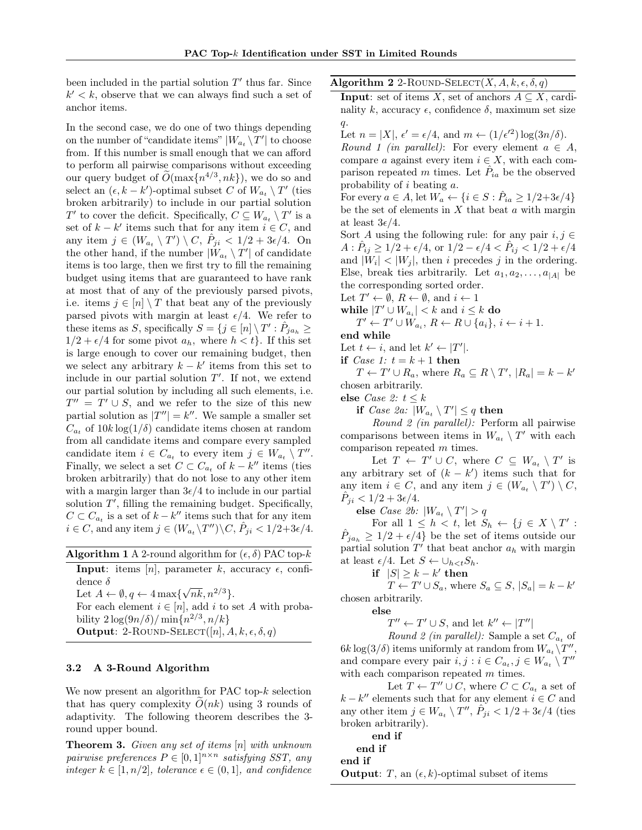been included in the partial solution  $T'$  thus far. Since  $k' < k$ , observe that we can always find such a set of anchor items.

In the second case, we do one of two things depending on the number of "candidate items"  $|W_{a_t} \setminus T'|$  to choose from. If this number is small enough that we can afford to perform all pairwise comparisons without exceeding our query budget of  $\widetilde{O}(\max\{n^{4/3}, nk\})$ , we do so and select an  $(\epsilon, k - k')$ -optimal subset C of  $W_{a_t} \setminus T'$  (ties broken arbitrarily) to include in our partial solution  $T'$  to cover the deficit. Specifically,  $C \subseteq W_{a_t} \setminus T'$  is a set of  $k - k'$  items such that for any item  $i \in C$ , and any item  $j \in (W_{a_t} \setminus T') \setminus C$ ,  $\hat{P}_{ji} < 1/2 + 3\epsilon/4$ . On the other hand, if the number  $|W_{a_t} \setminus T'|$  of candidate items is too large, then we first try to fill the remaining budget using items that are guaranteed to have rank at most that of any of the previously parsed pivots, i.e. items  $j \in [n] \setminus T$  that beat any of the previously parsed pivots with margin at least  $\epsilon/4$ . We refer to these items as S, specifically  $S = \{j \in [n] \setminus T' : \hat{P}_{ja_h} \geq$  $1/2 + \epsilon/4$  for some pivot  $a_h$ , where  $h < t$ . If this set is large enough to cover our remaining budget, then we select any arbitrary  $k - k'$  items from this set to include in our partial solution  $T'$ . If not, we extend our partial solution by including all such elements, i.e.  $T'' = T' \cup S$ , and we refer to the size of this new partial solution as  $|T''| = k''$ . We sample a smaller set  $C_{a_t}$  of  $10k \log(1/\delta)$  candidate items chosen at random from all candidate items and compare every sampled candidate item  $i \in C_{a_t}$  to every item  $j \in W_{a_t} \setminus T''$ . Finally, we select a set  $C \subset C_{a_t}$  of  $k - k''$  items (ties broken arbitrarily) that do not lose to any other item with a margin larger than  $3\epsilon/4$  to include in our partial solution  $T'$ , filling the remaining budget. Specifically,  $C \subset C_{a_t}$  is a set of  $k - k''$  items such that for any item  $i \in C$ , and any item  $j \in (W_{a_i} \backslash T'') \backslash C$ ,  $\hat{P}_{ji} < 1/2 + 3\epsilon/4$ .

<span id="page-7-2"></span>

| <b>Algorithm 1</b> A 2-round algorithm for $(\epsilon, \delta)$ PAC top-k |  |  |  |
|---------------------------------------------------------------------------|--|--|--|
|---------------------------------------------------------------------------|--|--|--|

**Input:** items [n], parameter k, accuracy  $\epsilon$ , confidence  $\delta$  $\sqrt{nk}, n^{2/3}\}.$ 

Let  $A \leftarrow \emptyset, q \leftarrow 4 \max\{$ 

For each element  $i \in [n]$ , add i to set A with probability  $2\log(9n/\delta)/\min\{n^{2/3},n/k\}$ 

# **Output:** 2-ROUND-SELECT([n],  $A, k, \epsilon, \delta, q$ )

#### <span id="page-7-1"></span>3.2 A 3-Round Algorithm

We now present an algorithm for PAC top- $k$  selection that has query complexity  $O(nk)$  using 3 rounds of adaptivity. The following theorem describes the 3 round upper bound.

<span id="page-7-0"></span>**Theorem 3.** Given any set of items  $[n]$  with unknown pairwise preferences  $P \in [0,1]^{n \times n}$  satisfying SST, any integer  $k \in [1, n/2]$ , tolerance  $\epsilon \in (0, 1]$ , and confidence Algorithm 2 2-ROUND-SELECT $(X, A, k, \epsilon, \delta, q)$ 

**Input:** set of items X, set of anchors  $A \subseteq X$ , cardinality k, accuracy  $\epsilon$ , confidence  $\delta$ , maximum set size  $q$ .

Let  $n = |X|, \epsilon' = \epsilon/4$ , and  $m \leftarrow (1/\epsilon'^2) \log(3n/\delta)$ .

Round 1 (in parallel): For every element  $a \in A$ , compare a against every item  $i \in X$ , with each comparison repeated m times. Let  $\hat{P}_{ia}$  be the observed probability of i beating a.

For every  $a \in A$ , let  $W_a \leftarrow \{i \in S : \hat{P}_{ia} \geq 1/2 + 3\epsilon/4\}$ be the set of elements in  $X$  that beat  $a$  with margin at least  $3\epsilon/4$ .

Sort A using the following rule: for any pair  $i, j \in$  $A: \hat{P}_{ij} \geq 1/2 + \epsilon/4$ , or  $1/2 - \epsilon/4 < \hat{P}_{ij} < 1/2 + \epsilon/4$ and  $|W_i|$  <  $|W_j|$ , then i precedes j in the ordering. Else, break ties arbitrarily. Let  $a_1, a_2, \ldots, a_{|A|}$  be the corresponding sorted order.

Let  $T' \leftarrow \emptyset$ ,  $R \leftarrow \emptyset$ , and  $i \leftarrow 1$ 

while  $|T' \cup W_{a_i}| < k$  and  $i \leq k$  do

 $T' \leftarrow T' \cup W_{a_i}, R \leftarrow R \cup \{a_i\}, i \leftarrow i+1.$ end while

Let  $t \leftarrow i$ , and let  $k' \leftarrow |T'|$ .

if *Case 1:*  $t = k + 1$  then

 $T \leftarrow T' \cup R_a$ , where  $R_a \subseteq R \setminus T'$ ,  $|R_a| = k - k'$ chosen arbitrarily.

else Case 2:  $t \leq k$ 

if *Case 2a*:  $|W_{a_t} \setminus T'| \leq q$  then

Round 2 (in parallel): Perform all pairwise comparisons between items in  $W_{a_t} \setminus T'$  with each comparison repeated m times.

Let  $T \leftarrow T' \cup C$ , where  $C \subseteq W_{a_t} \setminus T'$  is any arbitrary set of  $(k - k')$  items such that for any item  $i \in C$ , and any item  $j \in (W_{a_t} \setminus T') \setminus C$ ,  $\hat{P}_{ji} < 1/2 + 3\epsilon/4.$ 

else *Case 2b*:  $|W_{a_t} \setminus T'| > q$ 

For all  $1 \leq h \lt t$ , let  $S_h \leftarrow \{j \in X \setminus T' :$  $\hat{P}_{ja_h} \geq 1/2 + \epsilon/4$  be the set of items outside our partial solution  $T'$  that beat anchor  $a_h$  with margin at least  $\epsilon/4$ . Let  $S \leftarrow \cup_{h \leq t} S_h$ .

if  $|S| \geq k - k'$  then

 $T \leftarrow T' \cup S_a$ , where  $S_a \subseteq S$ ,  $|S_a| = k - k'$ chosen arbitrarily.

else

 $T'' \leftarrow T' \cup S$ , and let  $k'' \leftarrow |T''|$ 

Round 2 (in parallel): Sample a set  $C_{a_t}$  of  $6k \log(3/\delta)$  items uniformly at random from  $W_{a_t} \backslash T''$ , and compare every pair  $i, j : i \in C_{a_t}, j \in W_{a_t} \setminus T''$ with each comparison repeated m times.

Let  $T \leftarrow T'' \cup C$ , where  $C \subset C_{a_t}$  a set of  $k - k''$  elements such that for any element  $i \in C$  and any other item  $j \in W_{a_t} \setminus T''$ ,  $\tilde{P}_{ji} < 1/2 + 3\epsilon/4$  (ties broken arbitrarily).

end if

end if

end if

**Output:** T, an  $(\epsilon, k)$ -optimal subset of items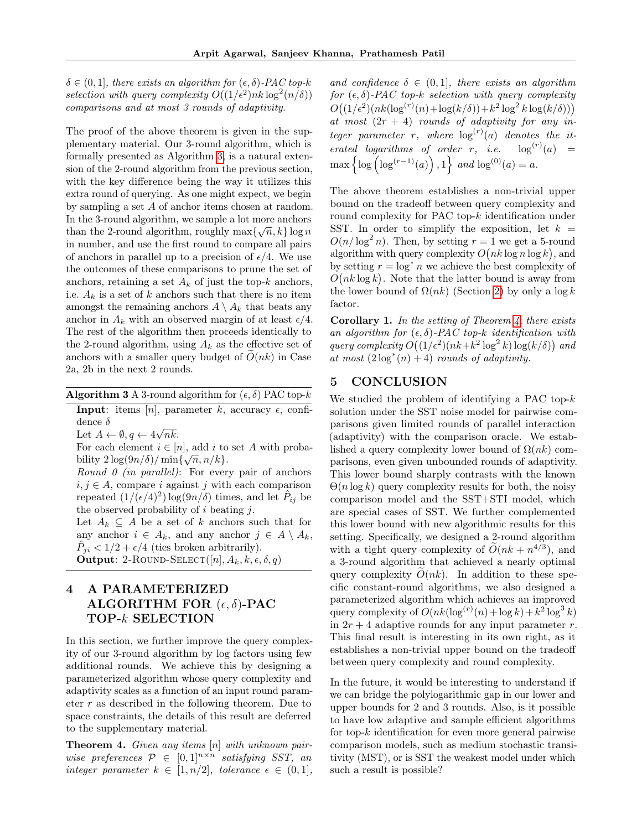$\delta \in (0, 1]$ , there exists an algorithm for  $(\epsilon, \delta)$ -PAC top-k selection with query complexity  $O((1/\epsilon^2)nk \log^2(n/\delta))$ comparisons and at most 3 rounds of adaptivity.

The proof of the above theorem is given in the supplementary material. Our 3-round algorithm, which is formally presented as Algorithm [3,](#page-8-1) is a natural extension of the 2-round algorithm from the previous section, with the key difference being the way it utilizes this extra round of querying. As one might expect, we begin by sampling a set A of anchor items chosen at random. In the 3-round algorithm, we sample a lot more anchors than the 2-round algorithm, roughly  $\max\{\sqrt{n}, k\}$  log n in number, and use the first round to compare all pairs of anchors in parallel up to a precision of  $\epsilon/4$ . We use the outcomes of these comparisons to prune the set of anchors, retaining a set  $A_k$  of just the top-k anchors, i.e.  $A_k$  is a set of k anchors such that there is no item amongst the remaining anchors  $A \setminus A_k$  that beats any anchor in  $A_k$  with an observed margin of at least  $\epsilon/4$ . The rest of the algorithm then proceeds identically to the 2-round algorithm, using  $A_k$  as the effective set of anchors with a smaller query budget of  $O(nk)$  in Case 2a, 2b in the next 2 rounds.

<span id="page-8-1"></span>**Algorithm 3** A 3-round algorithm for  $(\epsilon, \delta)$  PAC top-k

**Input:** items [n], parameter k, accuracy  $\epsilon$ , confidence  $\delta$ √

Let  $A \leftarrow \emptyset, q \leftarrow 4$ nk.

For each element  $i \in [n]$ , add i to set A with probability  $2\log(9n/\delta)/\min\{\sqrt{n}, n/k\}.$ 

Round  $\theta$  (in parallel): For every pair of anchors  $i, j \in A$ , compare i against j with each comparison repeated  $(1/(\epsilon/4)^2) \log(9n/\delta)$  times, and let  $\hat{P}_{ij}$  be the observed probability of  $i$  beating  $j$ .

Let  $A_k \subseteq A$  be a set of k anchors such that for any anchor  $i \in A_k$ , and any anchor  $j \in A \setminus A_k$ ,  $\hat{P}_{ji} < 1/2 + \epsilon/4$  (ties broken arbitrarily). **Output:** 2-ROUND-SELECT([n],  $A_k, k, \epsilon, \delta, q$ )

# 4 A PARAMETERIZED ALGORITHM FOR  $(\epsilon, \delta)$ -PAC TOP-k SELECTION

In this section, we further improve the query complexity of our 3-round algorithm by log factors using few additional rounds. We achieve this by designing a parameterized algorithm whose query complexity and adaptivity scales as a function of an input round parameter  $r$  as described in the following theorem. Due to space constraints, the details of this result are deferred to the supplementary material.

<span id="page-8-2"></span>Theorem 4. Given any items [n] with unknown pairwise preferences  $P \in [0,1]^{n \times n}$  satisfying SST, an integer parameter  $k \in [1, n/2]$ , tolerance  $\epsilon \in (0, 1]$ , and confidence  $\delta \in (0,1]$ , there exists an algorithm for  $(\epsilon, \delta)$ -PAC top-k selection with query complexity  $O((1/\epsilon^2)(nk(\log^{(r)}(n)+\log(k/\delta))+k^2\log^2k\log(k/\delta)))$ at most  $(2r + 4)$  rounds of adaptivity for any integer parameter r, where  $log<sup>(r)</sup>(a)$  denotes the iterated logarithms of order r, i.e.  $\log^{(r)}(a) =$  $\max\left\{\log\left(\log^{(r-1)}(a)\right), 1\right\}$  and  $\log^{(0)}(a) = a$ .

The above theorem establishes a non-trivial upper bound on the tradeoff between query complexity and round complexity for PAC top-k identification under SST. In order to simplify the exposition, let  $k =$  $O(n/\log^2 n)$ . Then, by setting  $r = 1$  we get a 5-round algorithm with query complexity  $O(nk \log n \log k)$ , and by setting  $r = \log^* n$  we achieve the best complexity of  $O(nk \log k)$ . Note that the latter bound is away from the lower bound of  $\Omega(nk)$  (Section [2\)](#page-5-1) by only a log k factor.

<span id="page-8-0"></span>**Corollary 1.** In the setting of Theorem [4,](#page-8-2) there exists an algorithm for  $(\epsilon, \delta)$ -PAC top-k identification with query complexity  $O((1/\epsilon^2)(nk+k^2 \log^2 k) \log(k/\delta))$  and at most  $(2 \log^*(n) + 4)$  rounds of adaptivity.

## 5 CONCLUSION

We studied the problem of identifying a PAC top- $k$ solution under the SST noise model for pairwise comparisons given limited rounds of parallel interaction (adaptivity) with the comparison oracle. We established a query complexity lower bound of  $\Omega(nk)$  comparisons, even given unbounded rounds of adaptivity. This lower bound sharply contrasts with the known  $\Theta(n \log k)$  query complexity results for both, the noisy comparison model and the SST+STI model, which are special cases of SST. We further complemented this lower bound with new algorithmic results for this setting. Specifically, we designed a 2-round algorithm with a tight query complexity of  $\widetilde{O}(nk + n^{4/3})$ , and a 3-round algorithm that achieved a nearly optimal query complexity  $O(nk)$ . In addition to these specific constant-round algorithms, we also designed a parameterized algorithm which achieves an improved query complexity of  $O(nk(\log^{(r)}(n) + \log k) + k^2 \log^3 k)$ in  $2r + 4$  adaptive rounds for any input parameter r. This final result is interesting in its own right, as it establishes a non-trivial upper bound on the tradeoff between query complexity and round complexity.

In the future, it would be interesting to understand if we can bridge the polylogarithmic gap in our lower and upper bounds for 2 and 3 rounds. Also, is it possible to have low adaptive and sample efficient algorithms for top- $k$  identification for even more general pairwise comparison models, such as medium stochastic transitivity (MST), or is SST the weakest model under which such a result is possible?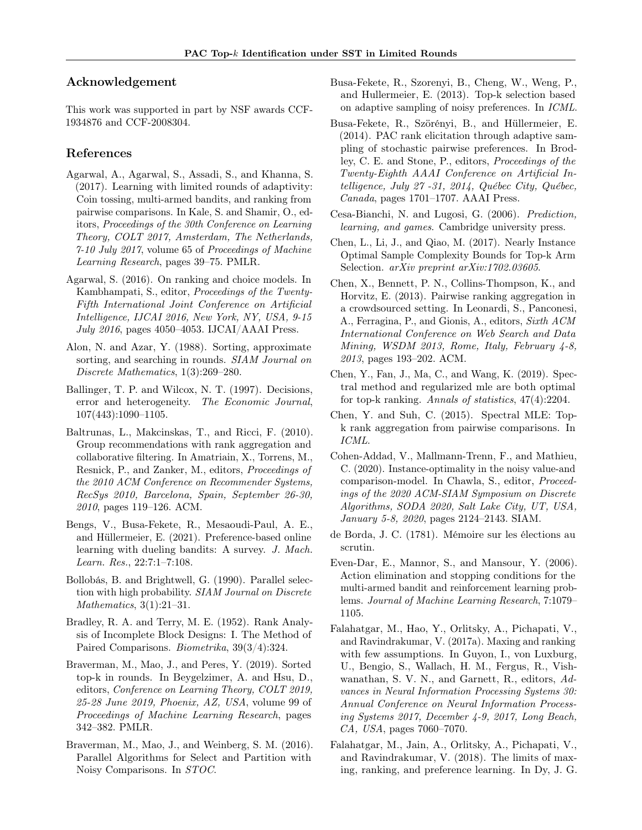## Acknowledgement

This work was supported in part by NSF awards CCF-1934876 and CCF-2008304.

## References

- <span id="page-9-10"></span>Agarwal, A., Agarwal, S., Assadi, S., and Khanna, S. (2017). Learning with limited rounds of adaptivity: Coin tossing, multi-armed bandits, and ranking from pairwise comparisons. In Kale, S. and Shamir, O., editors, Proceedings of the 30th Conference on Learning Theory, COLT 2017, Amsterdam, The Netherlands, 7-10 July 2017, volume 65 of Proceedings of Machine Learning Research, pages 39–75. PMLR.
- <span id="page-9-18"></span>Agarwal, S. (2016). On ranking and choice models. In Kambhampati, S., editor, Proceedings of the Twenty-Fifth International Joint Conference on Artificial Intelligence, IJCAI 2016, New York, NY, USA, 9-15 July 2016, pages 4050–4053. IJCAI/AAAI Press.
- <span id="page-9-6"></span>Alon, N. and Azar, Y. (1988). Sorting, approximate sorting, and searching in rounds. SIAM Journal on Discrete Mathematics, 1(3):269–280.
- <span id="page-9-7"></span>Ballinger, T. P. and Wilcox, N. T. (1997). Decisions, error and heterogeneity. The Economic Journal, 107(443):1090–1105.
- <span id="page-9-3"></span>Baltrunas, L., Makcinskas, T., and Ricci, F. (2010). Group recommendations with rank aggregation and collaborative filtering. In Amatriain, X., Torrens, M., Resnick, P., and Zanker, M., editors, Proceedings of the 2010 ACM Conference on Recommender Systems, RecSys 2010, Barcelona, Spain, September 26-30, 2010, pages 119–126. ACM.
- <span id="page-9-19"></span>Bengs, V., Busa-Fekete, R., Mesaoudi-Paul, A. E., and Hüllermeier, E. (2021). Preference-based online learning with dueling bandits: A survey. J. Mach. Learn. Res., 22:7:1–7:108.
- <span id="page-9-11"></span>Bollobás, B. and Brightwell, G. (1990). Parallel selection with high probability. SIAM Journal on Discrete Mathematics, 3(1):21–31.
- <span id="page-9-12"></span>Bradley, R. A. and Terry, M. E. (1952). Rank Analysis of Incomplete Block Designs: I. The Method of Paired Comparisons. Biometrika, 39(3/4):324.
- <span id="page-9-1"></span>Braverman, M., Mao, J., and Peres, Y. (2019). Sorted top-k in rounds. In Beygelzimer, A. and Hsu, D., editors, Conference on Learning Theory, COLT 2019, 25-28 June 2019, Phoenix, AZ, USA, volume 99 of Proceedings of Machine Learning Research, pages 342–382. PMLR.
- <span id="page-9-5"></span>Braverman, M., Mao, J., and Weinberg, S. M. (2016). Parallel Algorithms for Select and Partition with Noisy Comparisons. In STOC.
- <span id="page-9-17"></span>Busa-Fekete, R., Szorenyi, B., Cheng, W., Weng, P., and Hullermeier, E. (2013). Top-k selection based on adaptive sampling of noisy preferences. In ICML.
- <span id="page-9-9"></span>Busa-Fekete, R., Szörényi, B., and Hüllermeier, E. (2014). PAC rank elicitation through adaptive sampling of stochastic pairwise preferences. In Brodley, C. E. and Stone, P., editors, Proceedings of the Twenty-Eighth AAAI Conference on Artificial Intelligence, July 27 -31, 2014, Québec City, Québec, Canada, pages 1701–1707. AAAI Press.
- <span id="page-9-21"></span>Cesa-Bianchi, N. and Lugosi, G. (2006). Prediction, learning, and games. Cambridge university press.
- <span id="page-9-14"></span>Chen, L., Li, J., and Qiao, M. (2017). Nearly Instance Optimal Sample Complexity Bounds for Top-k Arm Selection. *arXiv preprint arXiv:1702.03605*.
- <span id="page-9-4"></span>Chen, X., Bennett, P. N., Collins-Thompson, K., and Horvitz, E. (2013). Pairwise ranking aggregation in a crowdsourced setting. In Leonardi, S., Panconesi, A., Ferragina, P., and Gionis, A., editors, Sixth ACM International Conference on Web Search and Data Mining, WSDM 2013, Rome, Italy, February 4-8, 2013, pages 193–202. ACM.
- <span id="page-9-15"></span>Chen, Y., Fan, J., Ma, C., and Wang, K. (2019). Spectral method and regularized mle are both optimal for top-k ranking. Annals of statistics, 47(4):2204.
- <span id="page-9-13"></span>Chen, Y. and Suh, C. (2015). Spectral MLE: Topk rank aggregation from pairwise comparisons. In ICML.
- <span id="page-9-0"></span>Cohen-Addad, V., Mallmann-Trenn, F., and Mathieu, C. (2020). Instance-optimality in the noisy value-and comparison-model. In Chawla, S., editor, Proceedings of the 2020 ACM-SIAM Symposium on Discrete Algorithms, SODA 2020, Salt Lake City, UT, USA, January 5-8, 2020, pages 2124–2143. SIAM.
- <span id="page-9-16"></span>de Borda, J. C. (1781). Mémoire sur les élections au scrutin.
- <span id="page-9-20"></span>Even-Dar, E., Mannor, S., and Mansour, Y. (2006). Action elimination and stopping conditions for the multi-armed bandit and reinforcement learning problems. Journal of Machine Learning Research, 7:1079– 1105.
- <span id="page-9-2"></span>Falahatgar, M., Hao, Y., Orlitsky, A., Pichapati, V., and Ravindrakumar, V. (2017a). Maxing and ranking with few assumptions. In Guyon, I., von Luxburg, U., Bengio, S., Wallach, H. M., Fergus, R., Vishwanathan, S. V. N., and Garnett, R., editors, Advances in Neural Information Processing Systems 30: Annual Conference on Neural Information Processing Systems 2017, December 4-9, 2017, Long Beach, CA, USA, pages 7060–7070.
- <span id="page-9-8"></span>Falahatgar, M., Jain, A., Orlitsky, A., Pichapati, V., and Ravindrakumar, V. (2018). The limits of maxing, ranking, and preference learning. In Dy, J. G.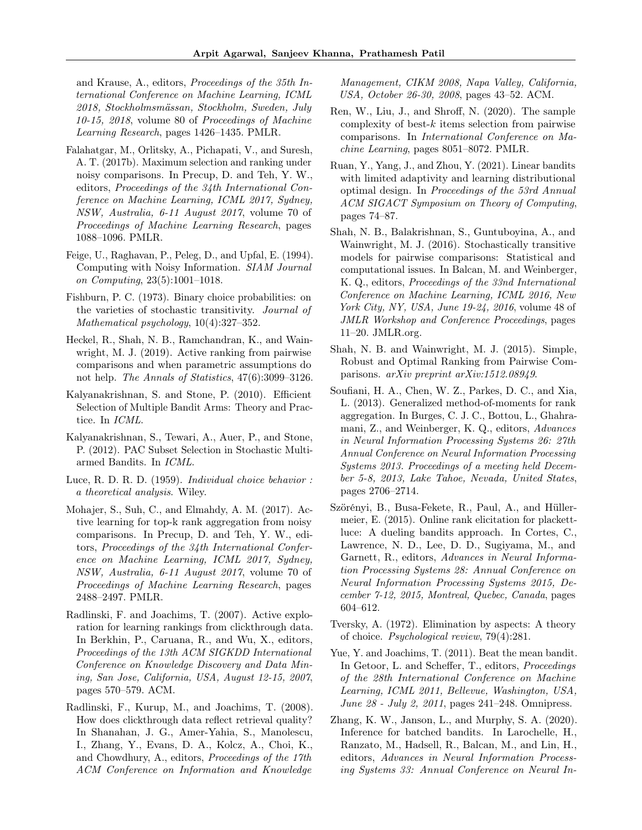and Krause, A., editors, Proceedings of the 35th International Conference on Machine Learning, ICML 2018, Stockholmsmässan, Stockholm, Sweden, July 10-15, 2018, volume 80 of Proceedings of Machine Learning Research, pages 1426–1435. PMLR.

- <span id="page-10-0"></span>Falahatgar, M., Orlitsky, A., Pichapati, V., and Suresh, A. T. (2017b). Maximum selection and ranking under noisy comparisons. In Precup, D. and Teh, Y. W., editors, Proceedings of the 34th International Conference on Machine Learning, ICML 2017, Sydney, NSW, Australia, 6-11 August 2017, volume 70 of Proceedings of Machine Learning Research, pages 1088–1096. PMLR.
- <span id="page-10-5"></span>Feige, U., Raghavan, P., Peleg, D., and Upfal, E. (1994). Computing with Noisy Information. SIAM Journal on Computing, 23(5):1001–1018.
- <span id="page-10-6"></span>Fishburn, P. C. (1973). Binary choice probabilities: on the varieties of stochastic transitivity. Journal of Mathematical psychology, 10(4):327–352.
- <span id="page-10-14"></span>Heckel, R., Shah, N. B., Ramchandran, K., and Wainwright, M. J. (2019). Active ranking from pairwise comparisons and when parametric assumptions do not help. *The Annals of Statistics*, 47(6):3099–3126.
- <span id="page-10-16"></span>Kalyanakrishnan, S. and Stone, P. (2010). Efficient Selection of Multiple Bandit Arms: Theory and Practice. In ICML.
- <span id="page-10-15"></span>Kalyanakrishnan, S., Tewari, A., Auer, P., and Stone, P. (2012). PAC Subset Selection in Stochastic Multiarmed Bandits. In ICML.
- <span id="page-10-10"></span>Luce, R. D. R. D. (1959). Individual choice behavior : a theoretical analysis. Wiley.
- <span id="page-10-12"></span>Mohajer, S., Suh, C., and Elmahdy, A. M. (2017). Active learning for top-k rank aggregation from noisy comparisons. In Precup, D. and Teh, Y. W., editors, Proceedings of the 34th International Conference on Machine Learning, ICML 2017, Sydney, NSW, Australia, 6-11 August 2017, volume 70 of Proceedings of Machine Learning Research, pages 2488–2497. PMLR.
- <span id="page-10-2"></span>Radlinski, F. and Joachims, T. (2007). Active exploration for learning rankings from clickthrough data. In Berkhin, P., Caruana, R., and Wu, X., editors, Proceedings of the 13th ACM SIGKDD International Conference on Knowledge Discovery and Data Mining, San Jose, California, USA, August 12-15, 2007, pages 570–579. ACM.
- <span id="page-10-1"></span>Radlinski, F., Kurup, M., and Joachims, T. (2008). How does clickthrough data reflect retrieval quality? In Shanahan, J. G., Amer-Yahia, S., Manolescu, I., Zhang, Y., Evans, D. A., Kolcz, A., Choi, K., and Chowdhury, A., editors, Proceedings of the 17th ACM Conference on Information and Knowledge

Management, CIKM 2008, Napa Valley, California, USA, October 26-30, 2008, pages 43–52. ACM.

- <span id="page-10-9"></span>Ren, W., Liu, J., and Shroff, N. (2020). The sample complexity of best-k items selection from pairwise comparisons. In International Conference on Machine Learning, pages 8051–8072. PMLR.
- <span id="page-10-18"></span>Ruan, Y., Yang, J., and Zhou, Y. (2021). Linear bandits with limited adaptivity and learning distributional optimal design. In Proceedings of the 53rd Annual ACM SIGACT Symposium on Theory of Computing, pages 74–87.
- <span id="page-10-8"></span>Shah, N. B., Balakrishnan, S., Guntuboyina, A., and Wainwright, M. J. (2016). Stochastically transitive models for pairwise comparisons: Statistical and computational issues. In Balcan, M. and Weinberger, K. Q., editors, Proceedings of the 33nd International Conference on Machine Learning, ICML 2016, New York City, NY, USA, June 19-24, 2016, volume 48 of JMLR Workshop and Conference Proceedings, pages 11–20. JMLR.org.
- <span id="page-10-13"></span>Shah, N. B. and Wainwright, M. J. (2015). Simple, Robust and Optimal Ranking from Pairwise Comparisons. arXiv preprint arXiv:1512.08949.
- <span id="page-10-4"></span>Soufiani, H. A., Chen, W. Z., Parkes, D. C., and Xia, L. (2013). Generalized method-of-moments for rank aggregation. In Burges, C. J. C., Bottou, L., Ghahramani, Z., and Weinberger, K. Q., editors, Advances in Neural Information Processing Systems 26: 27th Annual Conference on Neural Information Processing Systems 2013. Proceedings of a meeting held December 5-8, 2013, Lake Tahoe, Nevada, United States, pages 2706–2714.
- <span id="page-10-11"></span>Szörényi, B., Busa-Fekete, R., Paul, A., and Hüllermeier, E. (2015). Online rank elicitation for plackettluce: A dueling bandits approach. In Cortes, C., Lawrence, N. D., Lee, D. D., Sugiyama, M., and Garnett, R., editors, Advances in Neural Information Processing Systems 28: Annual Conference on Neural Information Processing Systems 2015, December 7-12, 2015, Montreal, Quebec, Canada, pages 604–612.
- <span id="page-10-7"></span>Tversky, A. (1972). Elimination by aspects: A theory of choice. Psychological review, 79(4):281.
- <span id="page-10-3"></span>Yue, Y. and Joachims, T. (2011). Beat the mean bandit. In Getoor, L. and Scheffer, T., editors, Proceedings of the 28th International Conference on Machine Learning, ICML 2011, Bellevue, Washington, USA, June 28 - July 2, 2011, pages 241–248. Omnipress.
- <span id="page-10-17"></span>Zhang, K. W., Janson, L., and Murphy, S. A. (2020). Inference for batched bandits. In Larochelle, H., Ranzato, M., Hadsell, R., Balcan, M., and Lin, H., editors, Advances in Neural Information Processing Systems 33: Annual Conference on Neural In-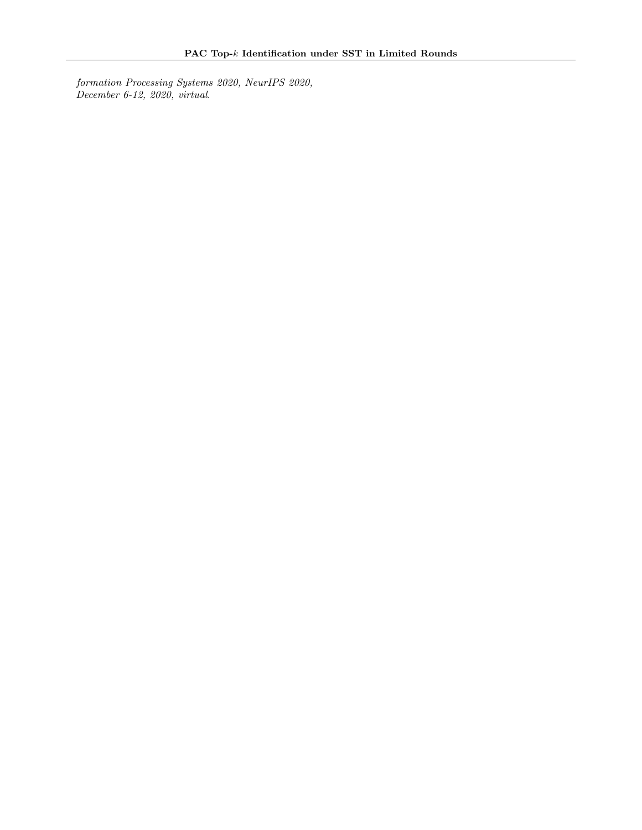formation Processing Systems 2020, NeurIPS 2020, December 6-12, 2020, virtual.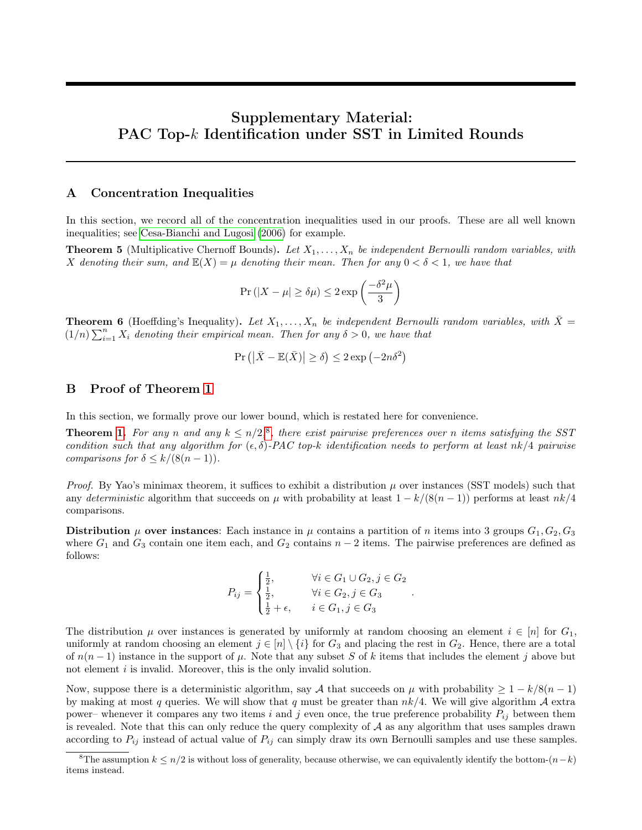# Supplementary Material: PAC Top-k Identification under SST in Limited Rounds

#### A Concentration Inequalities

In this section, we record all of the concentration inequalities used in our proofs. These are all well known inequalities; see [Cesa-Bianchi and Lugosi](#page-9-21) [\(2006\)](#page-9-21) for example.

**Theorem 5** (Multiplicative Chernoff Bounds). Let  $X_1, \ldots, X_n$  be independent Bernoulli random variables, with X denoting their sum, and  $\mathbb{E}(X) = \mu$  denoting their mean. Then for any  $0 < \delta < 1$ , we have that

$$
\Pr(|X - \mu| \ge \delta\mu) \le 2\exp\left(\frac{-\delta^2\mu}{3}\right)
$$

**Theorem 6** (Hoeffding's Inequality). Let  $X_1, \ldots, X_n$  be independent Bernoulli random variables, with  $\bar{X} =$  $(1/n)\sum_{i=1}^n X_i$  denoting their empirical mean. Then for any  $\delta > 0$ , we have that

$$
\Pr\left(\left|\bar{X} - \mathbb{E}(\bar{X})\right| \ge \delta\right) \le 2\exp\left(-2n\delta^2\right)
$$

### B Proof of Theorem [1](#page-5-0)

In this section, we formally prove our lower bound, which is restated here for convenience.

**Theorem [1.](#page-5-0)** For any n and any  $k \leq n/2$ ,<sup>[8](#page-12-0)</sup>, there exist pairwise preferences over n items satisfying the SST condition such that any algorithm for  $(\epsilon, \delta)$ -PAC top-k identification needs to perform at least nk/4 pairwise comparisons for  $\delta \leq k/(8(n-1)).$ 

*Proof.* By Yao's minimax theorem, it suffices to exhibit a distribution  $\mu$  over instances (SST models) such that any deterministic algorithm that succeeds on  $\mu$  with probability at least  $1 - k/(8(n-1))$  performs at least  $nk/4$ comparisons.

Distribution  $\mu$  over instances: Each instance in  $\mu$  contains a partition of n items into 3 groups  $G_1, G_2, G_3$ where  $G_1$  and  $G_3$  contain one item each, and  $G_2$  contains  $n-2$  items. The pairwise preferences are defined as follows:

$$
P_{ij} = \begin{cases} \frac{1}{2}, & \forall i \in G_1 \cup G_2, j \in G_2 \\ \frac{1}{2}, & \forall i \in G_2, j \in G_3 \\ \frac{1}{2} + \epsilon, & i \in G_1, j \in G_3 \end{cases}
$$

.

The distribution  $\mu$  over instances is generated by uniformly at random choosing an element  $i \in [n]$  for  $G_1$ , uniformly at random choosing an element  $j \in [n] \setminus \{i\}$  for  $G_3$  and placing the rest in  $G_2$ . Hence, there are a total of  $n(n-1)$  instance in the support of  $\mu$ . Note that any subset S of k items that includes the element j above but not element  $i$  is invalid. Moreover, this is the only invalid solution.

Now, suppose there is a deterministic algorithm, say A that succeeds on  $\mu$  with probability  $\geq 1 - k/8(n-1)$ by making at most q queries. We will show that q must be greater than  $nk/4$ . We will give algorithm  $\mathcal A$  extra power– whenever it compares any two items i and j even once, the true preference probability  $P_{ij}$  between them is revealed. Note that this can only reduce the query complexity of  $A$  as any algorithm that uses samples drawn according to  $P_{ij}$  instead of actual value of  $P_{ij}$  can simply draw its own Bernoulli samples and use these samples.

<span id="page-12-0"></span><sup>&</sup>lt;sup>8</sup>The assumption  $k \leq n/2$  is without loss of generality, because otherwise, we can equivalently identify the bottom- $(n-k)$ items instead.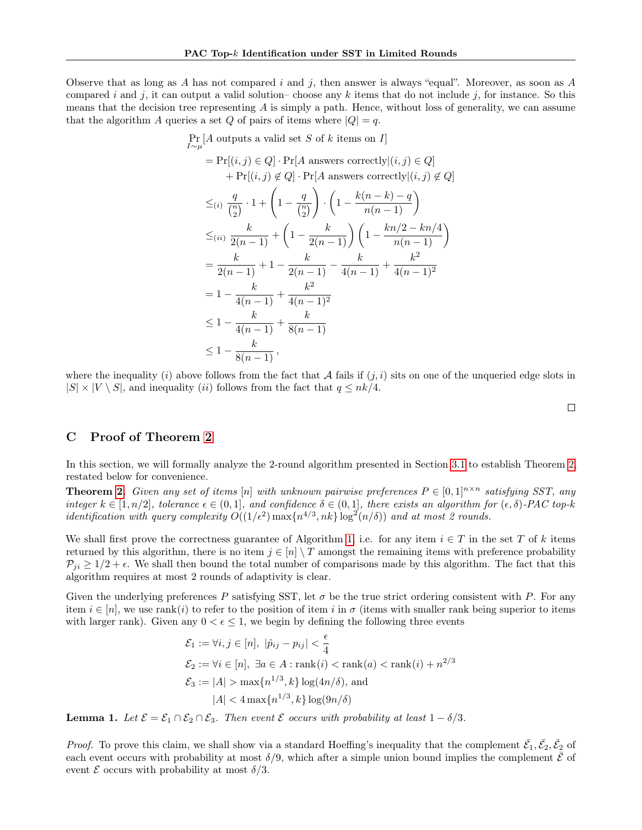Observe that as long as A has not compared i and j, then answer is always "equal". Moreover, as soon as A compared i and j, it can output a valid solution– choose any k items that do not include j, for instance. So this means that the decision tree representing A is simply a path. Hence, without loss of generality, we can assume that the algorithm A queries a set Q of pairs of items where  $|Q| = q$ .

$$
\Pr_{I \sim \mu}[A \text{ outputs a valid set } S \text{ of } k \text{ items on } I]
$$
\n
$$
= \Pr[(i, j) \in Q] \cdot \Pr[A \text{ answers correctly} | (i, j) \in Q]
$$
\n
$$
+ \Pr[(i, j) \notin Q] \cdot \Pr[A \text{ answers correctly} | (i, j) \notin Q]
$$
\n
$$
\leq_{(i)} \frac{q}{\binom{n}{2}} \cdot 1 + \left(1 - \frac{q}{\binom{n}{2}}\right) \cdot \left(1 - \frac{k(n-k) - q}{n(n-1)}\right)
$$
\n
$$
\leq_{(ii)} \frac{k}{2(n-1)} + \left(1 - \frac{k}{2(n-1)}\right) \left(1 - \frac{kn/2 - kn/4}{n(n-1)}\right)
$$
\n
$$
= \frac{k}{2(n-1)} + 1 - \frac{k}{2(n-1)} - \frac{k}{4(n-1)} + \frac{k^2}{4(n-1)^2}
$$
\n
$$
= 1 - \frac{k}{4(n-1)} + \frac{k^2}{4(n-1)^2}
$$
\n
$$
\leq 1 - \frac{k}{4(n-1)} + \frac{k}{8(n-1)}
$$
\n
$$
\leq 1 - \frac{k}{8(n-1)},
$$

where the inequality (i) above follows from the fact that A fails if  $(j, i)$  sits on one of the unqueried edge slots in  $|S| \times |V \setminus S|$ , and inequality *(ii)* follows from the fact that  $q \leq nk/4$ .

## C Proof of Theorem [2](#page-6-0)

In this section, we will formally analyze the 2-round algorithm presented in Section [3.1](#page-6-1) to establish Theorem [2,](#page-6-0) restated below for convenience.

**Theorem [2.](#page-6-0)** Given any set of items [n] with unknown pairwise preferences  $P \in [0,1]^{n \times n}$  satisfying SST, any integer  $k \in [1, n/2]$ , tolerance  $\epsilon \in (0, 1]$ , and confidence  $\delta \in (0, 1]$ , there exists an algorithm for  $(\epsilon, \delta)$ -PAC top-k *identification with query complexity*  $O((1/\epsilon^2) \max\{n^{4/3}, nk\} \log^2(n/\delta))$  and at most 2 rounds.

We shall first prove the correctness guarantee of Algorithm [1,](#page-7-2) i.e. for any item  $i \in T$  in the set T of k items returned by this algorithm, there is no item  $j \in [n] \setminus T$  amongst the remaining items with preference probability  $P_{ji} \geq 1/2 + \epsilon$ . We shall then bound the total number of comparisons made by this algorithm. The fact that this algorithm requires at most 2 rounds of adaptivity is clear.

Given the underlying preferences P satisfying SST, let  $\sigma$  be the true strict ordering consistent with P. For any item  $i \in [n]$ , we use rank $(i)$  to refer to the position of item i in  $\sigma$  (items with smaller rank being superior to items with larger rank). Given any  $0 < \epsilon \leq 1$ , we begin by defining the following three events

$$
\mathcal{E}_1 := \forall i, j \in [n], |\hat{p}_{ij} - p_{ij}| < \frac{\epsilon}{4}
$$
\n
$$
\mathcal{E}_2 := \forall i \in [n], \exists a \in A : \text{rank}(i) < \text{rank}(a) < \text{rank}(i) + n^{2/3}
$$
\n
$$
\mathcal{E}_3 := |A| > \max\{n^{1/3}, k\} \log(4n/\delta), \text{ and}
$$
\n
$$
|A| < 4 \max\{n^{1/3}, k\} \log(9n/\delta)
$$

**Lemma 1.** Let  $\mathcal{E} = \mathcal{E}_1 \cap \mathcal{E}_2 \cap \mathcal{E}_3$ . Then event  $\mathcal{E}$  occurs with probability at least  $1 - \delta/3$ .

*Proof.* To prove this claim, we shall show via a standard Hoeffing's inequality that the complement  $\bar{\mathcal{E}}_1, \bar{\mathcal{E}}_2, \bar{\mathcal{E}}_2$  of each event occurs with probability at most  $\delta/9$ , which after a simple union bound implies the complement  $\mathcal E$  of event  $\mathcal E$  occurs with probability at most  $\delta/3$ .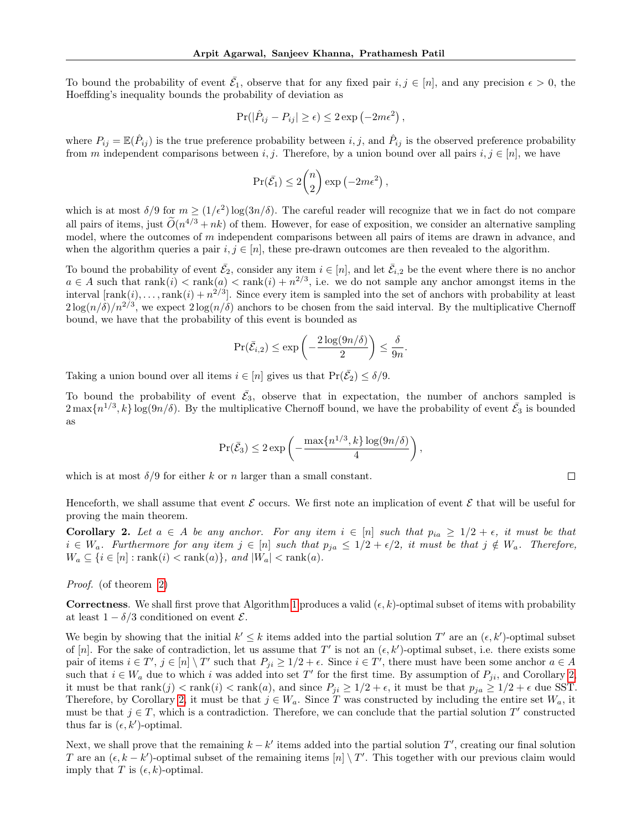To bound the probability of event  $\bar{\mathcal{E}}_1$ , observe that for any fixed pair  $i, j \in [n]$ , and any precision  $\epsilon > 0$ , the Hoeffding's inequality bounds the probability of deviation as

$$
Pr(|\hat{P}_{ij} - P_{ij}| \ge \epsilon) \le 2 \exp(-2m\epsilon^2),
$$

where  $P_{ij} = \mathbb{E}(\hat{P}_{ij})$  is the true preference probability between  $i, j$ , and  $\hat{P}_{ij}$  is the observed preference probability from m independent comparisons between i, j. Therefore, by a union bound over all pairs  $i, j \in [n]$ , we have

$$
\Pr(\bar{\mathcal{E}}_1) \le 2\binom{n}{2} \exp(-2m\epsilon^2),
$$

which is at most  $\delta/9$  for  $m \ge (1/\epsilon^2) \log(3n/\delta)$ . The careful reader will recognize that we in fact do not compare all pairs of items, just  $\tilde{O}(n^{4/3} + nk)$  of them. However, for ease of exposition, we consider an alternative sampling model, where the outcomes of  $m$  independent comparisons between all pairs of items are drawn in advance, and when the algorithm queries a pair  $i, j \in [n]$ , these pre-drawn outcomes are then revealed to the algorithm.

To bound the probability of event  $\bar{\mathcal{E}}_2$ , consider any item  $i \in [n]$ , and let  $\bar{\mathcal{E}}_{i,2}$  be the event where there is no anchor  $a \in A$  such that  $rank(i) < rank(a) < rank(i) + n^{2/3}$ , i.e. we do not sample any anchor amongst items in the interval  $[\text{rank}(i), \ldots, \text{rank}(i) + n^{2/3}]$ . Since every item is sampled into the set of anchors with probability at least  $2\log(n/\delta)/n^{2/3}$ , we expect  $2\log(n/\delta)$  anchors to be chosen from the said interval. By the multiplicative Chernoff bound, we have that the probability of this event is bounded as

$$
\Pr(\bar{\mathcal{E}}_{i,2}) \le \exp\left(-\frac{2\log(9n/\delta)}{2}\right) \le \frac{\delta}{9n}.
$$

Taking a union bound over all items  $i \in [n]$  gives us that  $Pr(\bar{\mathcal{E}}_2) \le \delta/9$ .

To bound the probability of event  $\bar{\mathcal{E}}_3$ , observe that in expectation, the number of anchors sampled is  $2\max\{n^{1/3},k\}\log(9n/\delta)$ . By the multiplicative Chernoff bound, we have the probability of event  $\bar{\mathcal{E}}_3$  is bounded as

$$
\Pr(\bar{E}_3) \le 2 \exp\left(-\frac{\max\{n^{1/3}, k\} \log(9n/\delta)}{4}\right),\,
$$

which is at most  $\delta/9$  for either k or n larger than a small constant.

Henceforth, we shall assume that event  $\mathcal E$  occurs. We first note an implication of event  $\mathcal E$  that will be useful for proving the main theorem.

<span id="page-14-0"></span>**Corollary 2.** Let  $a \in A$  be any anchor. For any item  $i \in [n]$  such that  $p_{ia} \geq 1/2 + \epsilon$ , it must be that  $i \in W_a$ . Furthermore for any item  $j \in [n]$  such that  $p_{ja} \leq 1/2 + \epsilon/2$ , it must be that  $j \notin W_a$ . Therefore,  $W_a \subseteq \{i \in [n]: \text{rank}(i) < \text{rank}(a)\}, \text{ and } |W_a| < \text{rank}(a).$ 

Proof. (of theorem [2\)](#page-6-0)

**Correctness.** We shall first prove that Algorithm [1](#page-7-2) produces a valid  $(\epsilon, k)$ -optimal subset of items with probability at least  $1 - \delta/3$  conditioned on event  $\mathcal{E}$ .

We begin by showing that the initial  $k' \leq k$  items added into the partial solution T' are an  $(\epsilon, k')$ -optimal subset of [n]. For the sake of contradiction, let us assume that T' is not an  $(\epsilon, k')$ -optimal subset, i.e. there exists some pair of items  $i \in T', j \in [n] \setminus T'$  such that  $P_{ji} \ge 1/2 + \epsilon$ . Since  $i \in T'$ , there must have been some anchor  $a \in A$ such that  $i \in W_a$  due to which i was added into set T' for the first time. By assumption of  $P_{ji}$ , and Corollary [2,](#page-14-0) it must be that  $rank(j) < rank(i) < rank(a)$ , and since  $P_{ji} \ge 1/2 + \epsilon$ , it must be that  $p_{ja} \ge 1/2 + \epsilon$  due SST. Therefore, by Corollary [2,](#page-14-0) it must be that  $j \in W_a$ . Since T was constructed by including the entire set  $W_a$ , it must be that  $j \in T$ , which is a contradiction. Therefore, we can conclude that the partial solution  $T'$  constructed thus far is  $(\epsilon, k')$ -optimal.

Next, we shall prove that the remaining  $k - k'$  items added into the partial solution  $T'$ , creating our final solution T are an  $(\epsilon, k - k')$ -optimal subset of the remaining items  $[n] \setminus T'$ . This together with our previous claim would imply that T is  $(\epsilon, k)$ -optimal.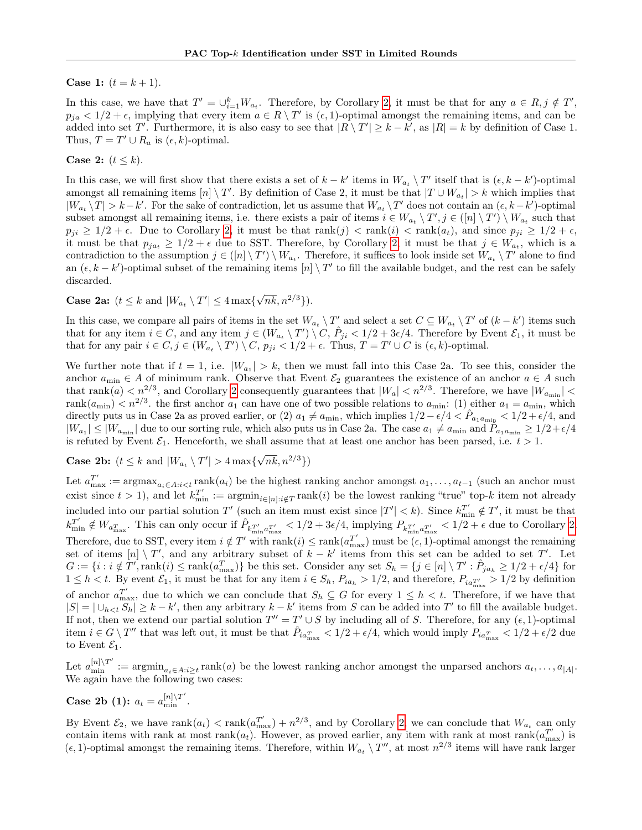**Case 1:**  $(t = k + 1)$ .

In this case, we have that  $T' = \bigcup_{i=1}^{k} W_{a_i}$ . Therefore, by Corollary [2,](#page-14-0) it must be that for any  $a \in R, j \notin T'$ ,  $p_{ja} < 1/2 + \epsilon$ , implying that every item  $a \in R \setminus T'$  is  $(\epsilon, 1)$ -optimal amongst the remaining items, and can be added into set T'. Furthermore, it is also easy to see that  $|R \setminus T'| \geq k - k'$ , as  $|R| = k$  by definition of Case 1. Thus,  $T = T' \cup R_a$  is  $(\epsilon, k)$ -optimal.

#### Case 2:  $(t \leq k)$ .

In this case, we will first show that there exists a set of  $k - k'$  items in  $W_{a_t} \setminus T'$  itself that is  $(\epsilon, k - k')$ -optimal amongst all remaining items  $[n] \setminus T'$ . By definition of Case 2, it must be that  $|T \cup W_{a_t}| > k$  which implies that  $|W_{a_t}\setminus T| > k-k'$ . For the sake of contradiction, let us assume that  $W_{a_t}\setminus T'$  does not contain an  $(\epsilon, k-k')$ -optimal subset amongst all remaining items, i.e. there exists a pair of items  $i \in W_{a_t} \setminus T', j \in ([n] \setminus T') \setminus W_{a_t}$  such that  $p_{ji} \ge 1/2 + \epsilon$ . Due to Corollary [2,](#page-14-0) it must be that  $rank(j) < rank(i) < rank(a_t)$ , and since  $p_{ji} \ge 1/2 + \epsilon$ , it must be that  $p_{ja_t} \geq 1/2 + \epsilon$  due to SST. Therefore, by Corollary [2,](#page-14-0) it must be that  $j \in W_{a_t}$ , which is a contradiction to the assumption  $j \in ([n] \setminus T') \setminus W_{a_t}$ . Therefore, it suffices to look inside set  $W_{a_t} \setminus T'$  alone to find an  $(\epsilon, k - k')$ -optimal subset of the remaining items  $[n] \setminus T'$  to fill the available budget, and the rest can be safely discarded.

**Case 2a:**  $(t \leq k \text{ and } |W_{a_t} \setminus T'| \leq 4 \max\{$  $\sqrt{nk}, n^{2/3}\}.$ 

In this case, we compare all pairs of items in the set  $W_{a_t} \setminus T'$  and select a set  $C \subseteq W_{a_t} \setminus T'$  of  $(k - k')$  items such that for any item  $i \in C$ , and any item  $j \in (W_{a_i} \setminus T') \setminus C$ ,  $\hat{P}_{ji} < 1/2 + 3\epsilon/4$ . Therefore by Event  $\mathcal{E}_1$ , it must be that for any pair  $i \in C, j \in (W_{a_t} \setminus T') \setminus C$ ,  $p_{ji} < 1/2 + \epsilon$ . Thus,  $T = T' \cup C$  is  $(\epsilon, k)$ -optimal.

We further note that if  $t = 1$ , i.e.  $|W_{a_1}| > k$ , then we must fall into this Case 2a. To see this, consider the anchor  $a_{\min} \in A$  of minimum rank. Observe that Event  $\mathcal{E}_2$  guarantees the existence of an anchor  $a \in A$  such that  $rank(a) < n^{2/3}$ , and Corollary [2](#page-14-0) consequently guarantees that  $|W_a| < n^{2/3}$ . Therefore, we have  $|W_{a_{\min}}| <$ rank $(a_{\text{min}}) < n^{2/3}$ , the first anchor  $a_1$  can have one of two possible relations to  $a_{\text{min}}$ ; (1) either  $a_1 = a_{\text{min}}$ , which directly puts us in Case 2a as proved earlier, or (2)  $a_1 \neq a_{\min}$ , which implies  $1/2 - \epsilon/4 < \hat{P}_{a_1 a_{\min}} < 1/2 + \epsilon/4$ , and  $|W_{a_1}| \leq |W_{a_{\min}}|$  due to our sorting rule, which also puts us in Case 2a. The case  $a_1 \neq a_{\min}$  and  $P_{a_1 a_{\min}} \geq 1/2 + \epsilon/4$ is refuted by Event  $\mathcal{E}_1$ . Henceforth, we shall assume that at least one anchor has been parsed, i.e.  $t > 1$ .

**Case 2b:**  $(t \leq k \text{ and } |W_{a_t} \setminus T'| > 4 \max\{$  $\sqrt{nk}, n^{2/3}\})$ 

Let  $a_{\max}^{T'} := \operatorname{argmax}_{a_i \in A: i < t} \operatorname{rank}(a_i)$  be the highest ranking anchor amongst  $a_1, \ldots, a_{t-1}$  (such an anchor must exist since  $t > 1$ ), and let  $k_{\min}^{T'} := \operatorname{argmin}_{i \in [n]: i \notin T} \operatorname{rank}(i)$  be the lowest ranking "true" top-k item not already included into our partial solution T' (such an item must exist since  $|T'| < k$ ). Since  $k_{\min}^{T'} \notin T'$ , it must be that  $k_{\min}^{T'} \notin W_{a_{\max}^T}$ . This can only occur if  $\hat{P}_{k_{\min}^{T'} a_{\max}^{T'}} < 1/2 + 3\epsilon/4$ , implying  $P_{k_{\min}^{T'} a_{\max}^{T'}} < 1/2 + \epsilon$  due to Corollary [2.](#page-14-0) Therefore, due to SST, every item  $i \notin T'$  with rank $(i) \leq \text{rank}(a_{\text{max}}^{T'})$  must be  $(\epsilon, 1)$ -optimal amongst the remaining set of items  $[n] \setminus T'$ , and any arbitrary subset of  $k - k'$  items from this set can be added to set T'. Let  $G := \{i : i \notin T', \text{rank}(i) \leq \text{rank}(a_{\text{max}}^T)\}\$ be this set. Consider any set  $S_h = \{j \in [n] \setminus T' : \hat{P}_{ja_h} \geq 1/2 + \epsilon/4\}$  for  $1 \leq h < t$ . By event  $\mathcal{E}_1$ , it must be that for any item  $i \in S_h$ ,  $P_{ia_h} > 1/2$ , and therefore,  $P_{ia_{\max}} > 1/2$  by definition of anchor  $a_{\text{max}}^{T'}$ , due to which we can conclude that  $S_h \subseteq G$  for every  $1 \leq h \lt t$ . Therefore, if we have that  $|S| = |\bigcup_{h \leq t} S_h| \geq k - k'$ , then any arbitrary  $k - k'$  items from S can be added into T' to fill the available budget. If not, then we extend our partial solution  $T'' = T' \cup S$  by including all of S. Therefore, for any  $(\epsilon, 1)$ -optimal item  $i \in G \setminus T''$  that was left out, it must be that  $\hat{P}_{ia_{\text{max}}^T} < 1/2 + \epsilon/4$ , which would imply  $P_{ia_{\text{max}}^T} < 1/2 + \epsilon/2$  due to Event  $\mathcal{E}_1$ .

Let  $a_{\min}^{[n]\setminus T'} := \operatorname{argmin}_{a_i \in A: i \geq t} \operatorname{rank}(a)$  be the lowest ranking anchor amongst the unparsed anchors  $a_t, \ldots, a_{|A|}$ . We again have the following two cases:

**Case 2b** (1):  $a_t = a_{\min}^{[n] \setminus T'}$ .

By Event  $\mathcal{E}_2$ , we have  $\text{rank}(a_t) < \text{rank}(a_{\text{max}}^{T'} ) + n^{2/3}$ , and by Corollary [2,](#page-14-0) we can conclude that  $W_{a_t}$  can only contain items with rank at most rank $(a_t)$ . However, as proved earlier, any item with rank at most rank $(a_{\text{max}}^T)$  is  $(\epsilon, 1)$ -optimal amongst the remaining items. Therefore, within  $W_{a_t} \setminus T''$ , at most  $n^{2/3}$  items will have rank larger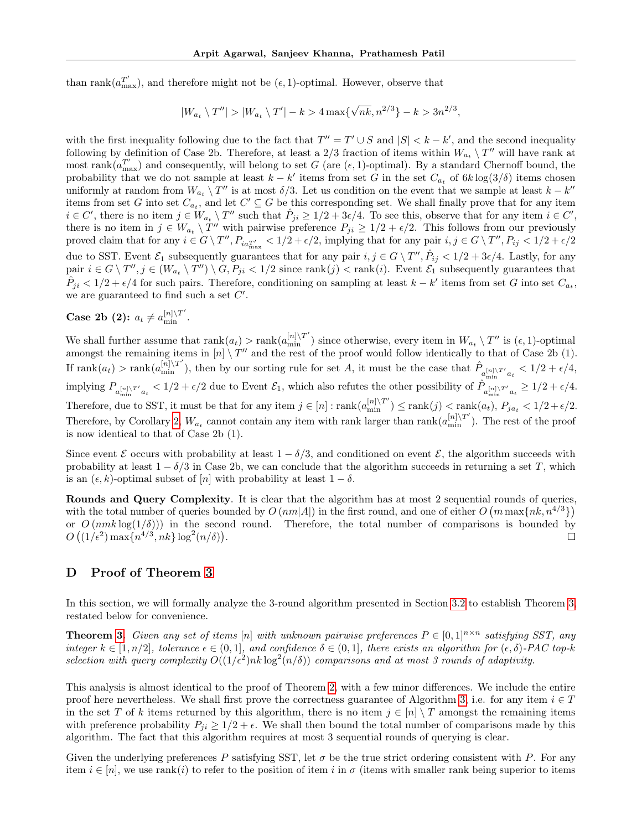than rank $(a_{\text{max}}^{T'}),$  and therefore might not be  $(\epsilon, 1)$ -optimal. However, observe that

$$
|W_{a_t} \setminus T''| > |W_{a_t} \setminus T'| - k > 4 \max\{\sqrt{nk}, n^{2/3}\} - k > 3n^{2/3},
$$

with the first inequality following due to the fact that  $T'' = T' \cup S$  and  $|S| < k - k'$ , and the second inequality following by definition of Case 2b. Therefore, at least a 2/3 fraction of items within  $W_{a_t} \setminus T''$  will have rank at most rank $(a_{\text{max}}^{T'} )$  and consequently, will belong to set G (are  $(\epsilon, 1)$ -optimal). By a standard Chernoff bound, the probability that we do not sample at least  $k - k'$  items from set G in the set  $C_{a_t}$  of  $6k \log(3/\delta)$  items chosen uniformly at random from  $W_{a_t} \setminus T''$  is at most  $\delta/3$ . Let us condition on the event that we sample at least  $k - k''$ items from set G into set  $C_{a_t}$ , and let  $C' \subseteq G$  be this corresponding set. We shall finally prove that for any item  $i \in C'$ , there is no item  $j \in W_{a_i} \setminus T''$  such that  $\hat{P}_{ji} \geq 1/2 + 3\epsilon/4$ . To see this, observe that for any item  $i \in C'$ , there is no item in  $j \in W_{a_t} \setminus T''$  with pairwise preference  $P_{ji} \geq 1/2 + \epsilon/2$ . This follows from our previously proved claim that for any  $i \in G \setminus T''$ ,  $P_{ia_{\text{max}}^T} < 1/2 + \epsilon/2$ , implying that for any pair  $i, j \in G \setminus T''$ ,  $P_{ij} < 1/2 + \epsilon/2$ due to SST. Event  $\mathcal{E}_1$  subsequently guarantees that for any pair  $i, j \in G \setminus T''$ ,  $\hat{P}_{ij} < 1/2 + 3\epsilon/4$ . Lastly, for any pair  $i \in G \setminus T'', j \in (W_{a_t} \setminus T'') \setminus G, P_{ji} < 1/2$  since  $\text{rank}(j) < \text{rank}(i)$ . Event  $\mathcal{E}_1$  subsequently guarantees that  $\hat{P}_{ji} < 1/2 + \epsilon/4$  for such pairs. Therefore, conditioning on sampling at least  $k - k'$  items from set G into set  $C_{a_t}$ , we are guaranteed to find such a set  $C'$ .

# Case 2b (2):  $a_t \neq a_{\min}^{\lfloor n \rfloor \setminus T'}$ .

We shall further assume that  $rank(a_t) > rank(a_{\min}^{\lfloor n \rfloor \setminus T'})$  since otherwise, every item in  $W_{a_t} \setminus T''$  is  $(\epsilon, 1)$ -optimal amongst the remaining items in  $[n] \setminus T''$  and the rest of the proof would follow identically to that of Case 2b (1). If  $\text{rank}(a_t) > \text{rank}(a_{\min}^{[n]\setminus T'}),$  then by our sorting rule for set A, it must be the case that  $\hat{P}_{a_{\min}^{[n]\setminus T'}a_t} < 1/2 + \epsilon/4$ , implying  $P_{a_{\min}^{[n] \setminus T'} a_t} < 1/2 + \epsilon/2$  due to Event  $\mathcal{E}_1$ , which also refutes the other possibility of  $\hat{P}_{a_{\min}^{[n] \setminus T'} a_t} \ge 1/2 + \epsilon/4$ . Therefore, due to SST, it must be that for any item  $j \in [n] : rank(a_{\min}^{[n] \setminus T'}) \leq rank(j) < rank(a_t), P_{ja_t} < 1/2 + \epsilon/2$ . Therefore, by Corollary [2,](#page-14-0)  $W_{a_t}$  cannot contain any item with rank larger than rank $(a_{\min}^{[n] \setminus T'})$ . The rest of the proof is now identical to that of Case 2b (1).

Since event  $\mathcal E$  occurs with probability at least  $1 - \delta/3$ , and conditioned on event  $\mathcal E$ , the algorithm succeeds with probability at least  $1 - \delta/3$  in Case 2b, we can conclude that the algorithm succeeds in returning a set T, which is an  $(\epsilon, k)$ -optimal subset of  $[n]$  with probability at least  $1 - \delta$ .

Rounds and Query Complexity. It is clear that the algorithm has at most 2 sequential rounds of queries, with the total number of queries bounded by  $O(nm|A|)$  in the first round, and one of either  $O(m \max\{nk, n^{4/3}\})$ or  $O(nmk \log(1/\delta))$  in the second round. Therefore, the total number of comparisons is bounded by  $O((1/\epsilon^2) \max\{n^{4/3}, nk\} \log^2(n/\delta))$ . П

## D Proof of Theorem [3](#page-7-0)

In this section, we will formally analyze the 3-round algorithm presented in Section [3.2](#page-7-1) to establish Theorem [3,](#page-7-0) restated below for convenience.

**Theorem [3.](#page-7-0)** Given any set of items [n] with unknown pairwise preferences  $P \in [0,1]^{n \times n}$  satisfying SST, any integer  $k \in [1, n/2]$ , tolerance  $\epsilon \in (0, 1]$ , and confidence  $\delta \in (0, 1]$ , there exists an algorithm for  $(\epsilon, \delta)$ -PAC top-k selection with query complexity  $O((1/\epsilon^2) n k \log^2(n/\delta))$  comparisons and at most 3 rounds of adaptivity.

This analysis is almost identical to the proof of Theorem [2,](#page-6-0) with a few minor differences. We include the entire proof here nevertheless. We shall first prove the correctness guarantee of Algorithm [3,](#page-8-1) i.e. for any item  $i \in T$ in the set T of k items returned by this algorithm, there is no item  $j \in [n] \setminus T$  amongst the remaining items with preference probability  $P_{ji} \geq 1/2 + \epsilon$ . We shall then bound the total number of comparisons made by this algorithm. The fact that this algorithm requires at most 3 sequential rounds of querying is clear.

Given the underlying preferences P satisfying SST, let  $\sigma$  be the true strict ordering consistent with P. For any item  $i \in [n]$ , we use rank $(i)$  to refer to the position of item i in  $\sigma$  (items with smaller rank being superior to items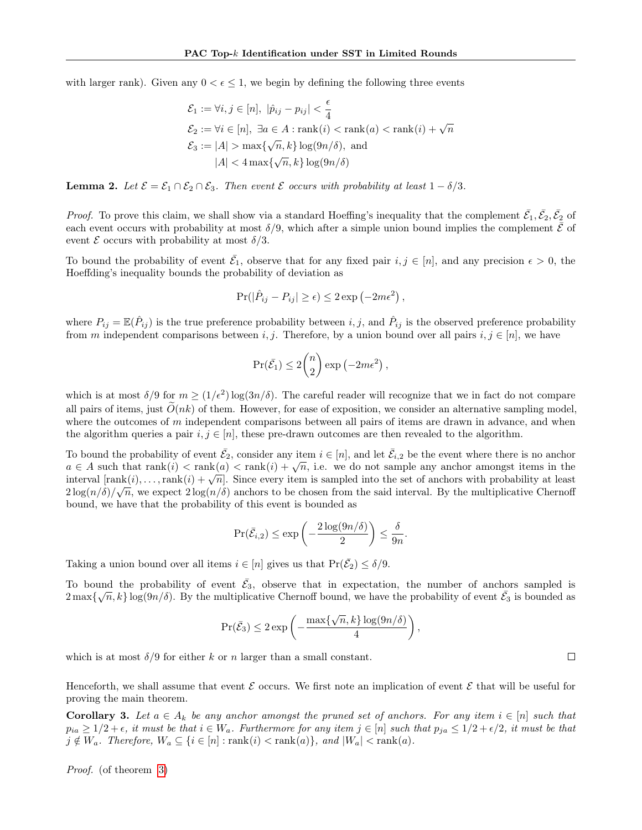with larger rank). Given any  $0 < \epsilon \leq 1$ , we begin by defining the following three events

$$
\mathcal{E}_1 := \forall i, j \in [n], |\hat{p}_{ij} - p_{ij}| < \frac{\epsilon}{4}
$$
  
\n
$$
\mathcal{E}_2 := \forall i \in [n], \exists a \in A : \text{rank}(i) < \text{rank}(a) < \text{rank}(i) + \sqrt{n}
$$
  
\n
$$
\mathcal{E}_3 := |A| > \max\{\sqrt{n}, k\} \log(9n/\delta), \text{ and}
$$
  
\n
$$
|A| < 4 \max\{\sqrt{n}, k\} \log(9n/\delta)
$$

**Lemma 2.** Let  $\mathcal{E} = \mathcal{E}_1 \cap \mathcal{E}_2 \cap \mathcal{E}_3$ . Then event  $\mathcal{E}$  occurs with probability at least  $1 - \delta/3$ .

*Proof.* To prove this claim, we shall show via a standard Hoeffing's inequality that the complement  $\bar{\mathcal{E}}_1, \bar{\mathcal{E}}_2, \bar{\mathcal{E}}_2$  of each event occurs with probability at most  $\delta/9$ , which after a simple union bound implies the complement  $\bar{\mathcal{E}}$  of event  $\mathcal E$  occurs with probability at most  $\delta/3$ .

To bound the probability of event  $\bar{\mathcal{E}}_1$ , observe that for any fixed pair  $i, j \in [n]$ , and any precision  $\epsilon > 0$ , the Hoeffding's inequality bounds the probability of deviation as

$$
Pr(|\hat{P}_{ij} - P_{ij}| \ge \epsilon) \le 2 \exp(-2m\epsilon^2),
$$

where  $P_{ij} = \mathbb{E}(\hat{P}_{ij})$  is the true preference probability between  $i, j$ , and  $\hat{P}_{ij}$  is the observed preference probability from m independent comparisons between i, j. Therefore, by a union bound over all pairs  $i, j \in [n]$ , we have

$$
\Pr(\bar{\mathcal{E}_1}) \le 2\binom{n}{2} \exp(-2m\epsilon^2),
$$

which is at most  $\delta/9$  for  $m \ge (1/\epsilon^2) \log(3n/\delta)$ . The careful reader will recognize that we in fact do not compare all pairs of items, just  $\tilde{O}(nk)$  of them. However, for ease of exposition, we consider an alternative sampling model, where the outcomes of  $m$  independent comparisons between all pairs of items are drawn in advance, and when the algorithm queries a pair  $i, j \in [n]$ , these pre-drawn outcomes are then revealed to the algorithm.

To bound the probability of event  $\bar{\mathcal{E}}_2$ , consider any item  $i \in [n]$ , and let  $\bar{\mathcal{E}}_{i,2}$  be the event where there is no anchor 10 bound the probability of event  $c_2$ , consider any nem  $i \in [n]$ , and let  $c_{i,2}$  be the event where there is no anchor<br>  $a \in A$  such that rank(i)  $\langle$  rank(a)  $\langle$  rank(i) +  $\sqrt{n}$ , i.e. we do not sample any anchor amo  $u \in A$  such that  $\text{rank}(i) \leq \text{rank}(i) \leq \text{rank}(i) + \sqrt{n}$ . Since every item is sampled into the set of anchors with probability at least interval  $[\text{rank}(i), \ldots, \text{rank}(i) + \sqrt{n}]$ . Since every item is sampled into the set of anchors wi  $2\log(n/\delta)/\sqrt{n}$ , we expect  $2\log(n/\delta)$  anchors to be chosen from the said interval. By the multiplicative Chernoff bound, we have that the probability of this event is bounded as

$$
\Pr(\bar{\mathcal{E}}_{i,2}) \le \exp\left(-\frac{2\log(9n/\delta)}{2}\right) \le \frac{\delta}{9n}.
$$

Taking a union bound over all items  $i \in [n]$  gives us that  $Pr(\bar{\mathcal{E}}_2) \le \delta/9$ .

To bound the probability of event  $\bar{\mathcal{E}}_3$ , observe that in expectation, the number of anchors sampled is  $2\max\{\sqrt{n},k\}\log(9n/\delta)$ . By the multiplicative Chernoff bound, we have the probability of event  $\bar{\mathcal{E}}_3$  is bounded as

$$
\Pr(\bar{E}_3) \le 2 \exp\left(-\frac{\max\{\sqrt{n}, k\} \log(9n/\delta)}{4}\right),\,
$$

which is at most  $\delta/9$  for either k or n larger than a small constant.

Henceforth, we shall assume that event  $\mathcal E$  occurs. We first note an implication of event  $\mathcal E$  that will be useful for proving the main theorem.

<span id="page-17-0"></span>**Corollary 3.** Let  $a \in A_k$  be any anchor amongst the pruned set of anchors. For any item  $i \in [n]$  such that  $p_{ia} \ge 1/2 + \epsilon$ , it must be that  $i \in W_a$ . Furthermore for any item  $j \in [n]$  such that  $p_{ja} \le 1/2 + \epsilon/2$ , it must be that  $j \notin W_a$ . Therefore,  $W_a \subseteq \{i \in [n]: \text{rank}(i) < \text{rank}(a)\}, \text{ and } |W_a| < \text{rank}(a)$ .

Proof. (of theorem [3\)](#page-7-0)

 $\Box$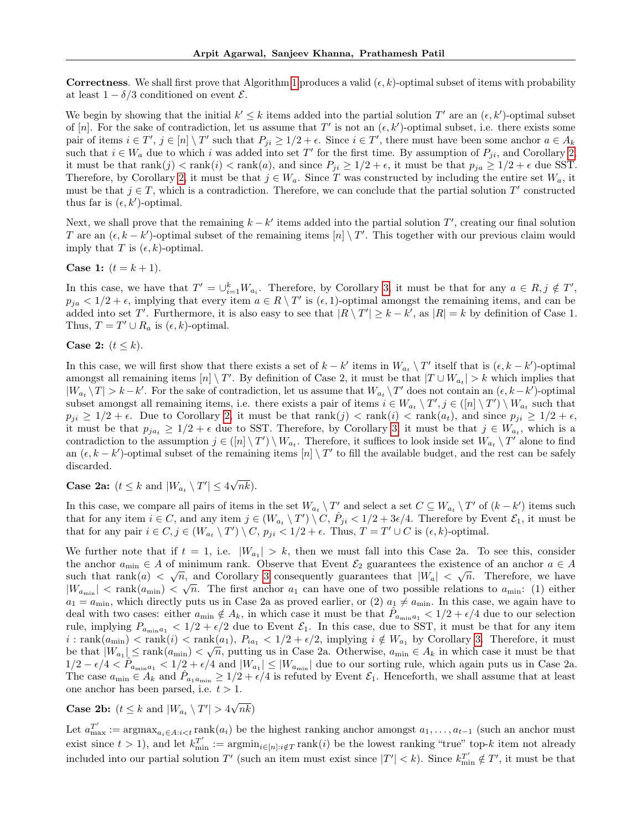**Correctness.** We shall first prove that Algorithm [1](#page-7-2) produces a valid  $(\epsilon, k)$ -optimal subset of items with probability at least  $1 - \delta/3$  conditioned on event  $\mathcal{E}$ .

We begin by showing that the initial  $k' \leq k$  items added into the partial solution T' are an  $(\epsilon, k')$ -optimal subset of [n]. For the sake of contradiction, let us assume that T' is not an  $(\epsilon, k')$ -optimal subset, i.e. there exists some pair of items  $i \in T'$ ,  $j \in [n] \setminus T'$  such that  $P_{ji} \ge 1/2 + \epsilon$ . Since  $i \in T'$ , there must have been some anchor  $a \in A_k$ such that  $i \in W_a$  due to which i was added into set T' for the first time. By assumption of  $P_{ji}$ , and Corollary [2,](#page-14-0) it must be that  $rank(j) < rank(i) < rank(a)$ , and since  $P_{ji} \ge 1/2 + \epsilon$ , it must be that  $p_{ja} \ge 1/2 + \epsilon$  due SST. Therefore, by Corollary [2,](#page-14-0) it must be that  $j \in W_a$ . Since T was constructed by including the entire set  $W_a$ , it must be that  $j \in T$ , which is a contradiction. Therefore, we can conclude that the partial solution  $T'$  constructed thus far is  $(\epsilon, k')$ -optimal.

Next, we shall prove that the remaining  $k - k'$  items added into the partial solution  $T'$ , creating our final solution T are an  $(\epsilon, k - k')$ -optimal subset of the remaining items  $[n] \setminus T'$ . This together with our previous claim would imply that T is  $(\epsilon, k)$ -optimal.

**Case 1:**  $(t = k + 1)$ .

In this case, we have that  $T' = \bigcup_{i=1}^k W_{a_i}$ . Therefore, by Corollary [3,](#page-17-0) it must be that for any  $a \in R, j \notin T'$ ,  $p_{ja} < 1/2 + \epsilon$ , implying that every item  $a \in R \setminus T'$  is  $(\epsilon, 1)$ -optimal amongst the remaining items, and can be added into set T'. Furthermore, it is also easy to see that  $|R \setminus T'| \geq k - k'$ , as  $|R| = k$  by definition of Case 1. Thus,  $T = T' \cup R_a$  is  $(\epsilon, k)$ -optimal.

Case 2:  $(t \leq k)$ .

In this case, we will first show that there exists a set of  $k - k'$  items in  $W_{a_t} \setminus T'$  itself that is  $(\epsilon, k - k')$ -optimal amongst all remaining items  $[n] \setminus T'$ . By definition of Case 2, it must be that  $|T \cup W_{a_t}| > k$  which implies that  $|W_{a_t} \setminus T| > k - k'$ . For the sake of contradiction, let us assume that  $W_{a_t} \setminus T'$  does not contain an  $(\epsilon, k - k')$ -optimal subset amongst all remaining items, i.e. there exists a pair of items  $i \in W_{a_t} \setminus T', j \in ([n] \setminus T') \setminus W_{a_t}$  such that  $p_{ji} \ge 1/2 + \epsilon$ . Due to Corollary [2,](#page-14-0) it must be that  $rank(j) < rank(i) < rank(a_t)$ , and since  $p_{ji} \ge 1/2 + \epsilon$ , it must be that  $p_{ja_t} \geq 1/2 + \epsilon$  due to SST. Therefore, by Corollary [3,](#page-17-0) it must be that  $j \in W_{a_t}$ , which is a contradiction to the assumption  $j \in ([n] \setminus T') \setminus W_{a_t}$ . Therefore, it suffices to look inside set  $W_{a_t} \setminus T'$  alone to find an  $(\epsilon, k - k')$ -optimal subset of the remaining items  $[n] \setminus T'$  to fill the available budget, and the rest can be safely discarded.

**Case 2a:**  $(t \leq k \text{ and } |W_{a_t} \setminus T'| \leq 4$ √  $nk$ ).

In this case, we compare all pairs of items in the set  $W_{a_t} \setminus T'$  and select a set  $C \subseteq W_{a_t} \setminus T'$  of  $(k - k')$  items such that for any item  $i \in C$ , and any item  $j \in (W_{a_i} \setminus T') \setminus C$ ,  $\hat{P}_{ji} < 1/2 + 3\epsilon/4$ . Therefore by Event  $\mathcal{E}_1$ , it must be that for any pair  $i \in C, j \in (W_{a_t} \setminus T') \setminus C$ ,  $p_{ji} < 1/2 + \epsilon$ . Thus,  $T = T' \cup C$  is  $(\epsilon, k)$ -optimal.

We further note that if  $t = 1$ , i.e.  $|W_{a_1}| > k$ , then we must fall into this Case 2a. To see this, consider the anchor  $a_{\min} \in A$  of minimum rank. Observe that Event  $\mathcal{E}_2$  guarantees the existence of an anchor  $a \in A$ such that  $rank(a) < \sqrt{n}$ , and Corollary [3](#page-17-0) consequently guarantees that  $|W_a| < \sqrt{n}$ . Therefore, we have  $|W_{a_{\min}}| < \text{rank}(a_{\min}) < \sqrt{n}$ . The first anchor  $a_1$  can have one of two possible relations to  $a_{\min}$ : (1) either  $a_1 = a_{\min}$ , which directly puts us in Case 2a as proved earlier, or (2)  $a_1 \neq a_{\min}$ . In this case, we again have to deal with two cases: either  $a_{\min} \notin A_k$ , in which case it must be that  $\hat{P}_{a_{\min}a_1} < 1/2 + \epsilon/4$  due to our selection rule, implying  $P_{a_{\min}a_1} < 1/2 + \epsilon/2$  due to Event  $\mathcal{E}_1$ . In this case, due to SST, it must be that for any item  $i : \text{rank}(a_{\text{min}}) < \text{rank}(i) < \text{rank}(a_1), P_{ia_1} < 1/2 + \epsilon/2, \text{ implying } i \notin W_{a_1} \text{ by Corollary 3. Therefore, it must be given by the following inequality.}$  $i : \text{rank}(a_{\text{min}}) < \text{rank}(i) < \text{rank}(a_1), P_{ia_1} < 1/2 + \epsilon/2, \text{ implying } i \notin W_{a_1} \text{ by Corollary 3. Therefore, it must be given by the following inequality.}$  $i : \text{rank}(a_{\text{min}}) < \text{rank}(i) < \text{rank}(a_1), P_{ia_1} < 1/2 + \epsilon/2, \text{ implying } i \notin W_{a_1} \text{ by Corollary 3. Therefore, it must be given by the following inequality.}$ be that  $|W_{a_1}| \le \text{rank}(a_{\text{min}}) < \sqrt{n}$ , putting us in Case 2a. Otherwise,  $a_{\text{min}} \in A_k$  in which case it must be that  $1/2 - \epsilon/4 < \hat{P}_{a_{\min}a_1} < 1/2 + \epsilon/4$  and  $|W_{a_1}| \leq |W_{a_{\min}}|$  due to our sorting rule, which again puts us in Case 2a. The case  $a_{\min} \in A_k$  and  $\hat{P}_{a_1a_{\min}} \geq 1/2 + \epsilon/4$  is refuted by Event  $\mathcal{E}_1$ . Henceforth, we shall assume that at least one anchor has been parsed, i.e.  $t > 1$ .

**Case 2b:**  $(t \leq k \text{ and } |W_{a_t} \setminus T'| > 4$ √  $nk)$ 

Let  $a_{\max}^{T'} := \operatorname{argmax}_{a_i \in A: i < t} \operatorname{rank}(a_i)$  be the highest ranking anchor amongst  $a_1, \ldots, a_{t-1}$  (such an anchor must exist since  $t > 1$ ), and let  $k_{\min}^{T'} := \operatorname{argmin}_{i \in [n]: i \notin T} \operatorname{rank}(i)$  be the lowest ranking "true" top-k item not already included into our partial solution T' (such an item must exist since  $|T'| < k$ ). Since  $k_{\min}^{T'} \notin T'$ , it must be that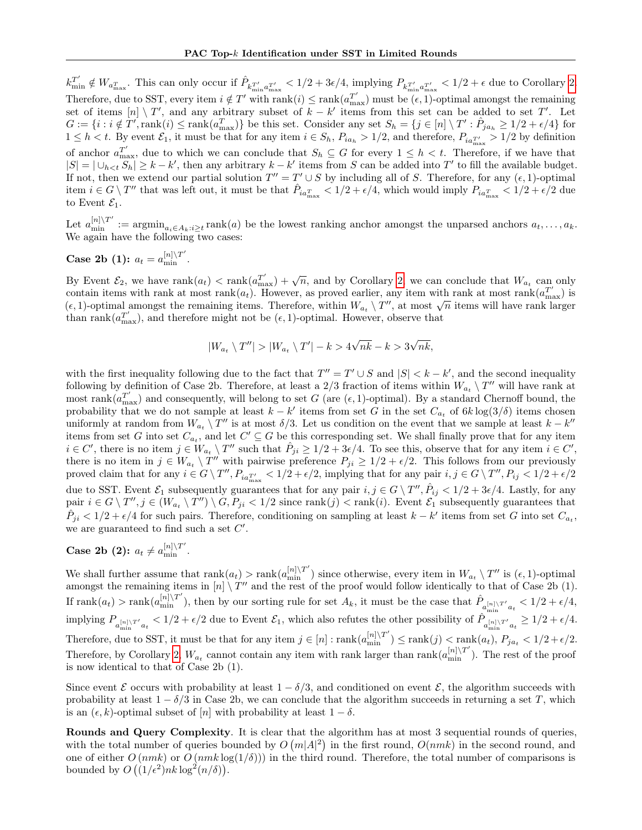$k_{\min}^{T'} \notin W_{a_{\max}^T}$ . This can only occur if  $\hat{P}_{k_{\min}^{T'} a_{\max}^{T'}} < 1/2 + 3\epsilon/4$ , implying  $P_{k_{\min}^{T'} a_{\max}^{T'}} < 1/2 + \epsilon$  due to Corollary [2.](#page-14-0) Therefore, due to SST, every item  $i \notin T'$  with rank $(i) \leq \text{rank}(a_{\text{max}}^{T'})$  must be  $(\epsilon, 1)$ -optimal amongst the remaining set of items  $[n] \setminus T'$ , and any arbitrary subset of  $k - k'$  items from this set can be added to set T'. Let  $G := \{i : i \notin T', \text{rank}(i) \leq \text{rank}(a_{\text{max}}^T)\}\$ be this set. Consider any set  $S_h = \{j \in [n] \setminus T' : \hat{P}_{ja_h} \geq 1/2 + \epsilon/4\}$  for  $1 \leq h < t$ . By event  $\mathcal{E}_1$ , it must be that for any item  $i \in S_h$ ,  $P_{ia_h} > 1/2$ , and therefore,  $P_{ia_{\max}} > 1/2$  by definition of anchor  $a_{\text{max}}^{T'}$ , due to which we can conclude that  $S_h \subseteq G$  for every  $1 \leq h \lt t$ . Therefore, if we have that  $|S| = |\bigcup_{h \leq t} S_h| \geq k - k'$ , then any arbitrary  $k - k'$  items from S can be added into T' to fill the available budget. If not, then we extend our partial solution  $T'' = T' \cup S$  by including all of S. Therefore, for any  $(\epsilon, 1)$ -optimal item  $i \in G \setminus T''$  that was left out, it must be that  $\hat{P}_{ia_{\text{max}}^T} < 1/2 + \epsilon/4$ , which would imply  $P_{ia_{\text{max}}^T} < 1/2 + \epsilon/2$  due to Event  $\mathcal{E}_1$ .

Let  $a_{\min}^{[n]\setminus T'} := \operatorname{argmin}_{a_i \in A_k : i \geq t} \operatorname{rank}(a)$  be the lowest ranking anchor amongst the unparsed anchors  $a_t, \ldots, a_k$ . We again have the following two cases:

# **Case 2b** (1):  $a_t = a_{\min}^{[n] \setminus T'}$ .

By Event  $\mathcal{E}_2$ , we have  $\text{rank}(a_t) < \text{rank}(a_{\text{max}}^T) + \sqrt{n}$ , and by Corollary [2,](#page-14-0) we can conclude that  $W_{a_t}$  can only contain items with rank at most rank $(a_t)$ . However, as proved earlier, any item with rank at most rank $(a_{\text{max}}^T)$  is contain froms with rank at most rank  $(a_t)$ . However, as proved earlier, any from with rank at most rank  $(a_{\text{max}})$  is  $(\epsilon, 1)$ -optimal amongst the remaining items. Therefore, within  $W_{a_t} \setminus T''$ , at most  $\sqrt{n}$  items will than rank $(a_{\text{max}}^{T'}),$  and therefore might not be  $(\epsilon, 1)$ -optimal. However, observe that

$$
|W_{a_t} \setminus T''| > |W_{a_t} \setminus T'| - k > 4\sqrt{nk} - k > 3\sqrt{nk},
$$

with the first inequality following due to the fact that  $T'' = T' \cup S$  and  $|S| < k - k'$ , and the second inequality following by definition of Case 2b. Therefore, at least a 2/3 fraction of items within  $W_{a_t} \setminus T''$  will have rank at most rank $(a_{\text{max}}^{T'} )$  and consequently, will belong to set G (are  $(\epsilon, 1)$ -optimal). By a standard Chernoff bound, the probability that we do not sample at least  $k - k'$  items from set G in the set  $C_{a_t}$  of  $6k \log(3/\delta)$  items chosen uniformly at random from  $W_{a_t} \setminus T''$  is at most  $\delta/3$ . Let us condition on the event that we sample at least  $k - k''$ items from set G into set  $C_{a_t}$ , and let  $C' \subseteq G$  be this corresponding set. We shall finally prove that for any item  $i \in C'$ , there is no item  $j \in W_{a_t} \setminus T''$  such that  $\hat{P}_{ji} \geq 1/2 + 3\epsilon/4$ . To see this, observe that for any item  $i \in C'$ , there is no item in  $j \in W_{a_t} \setminus T''$  with pairwise preference  $P_{ji} \geq 1/2 + \epsilon/2$ . This follows from our previously proved claim that for any  $i \in G \setminus T''$ ,  $P_{ia_{\text{max}}^T} < 1/2 + \epsilon/2$ , implying that for any pair  $i, j \in G \setminus T''$ ,  $P_{ij} < 1/2 + \epsilon/2$ due to SST. Event  $\mathcal{E}_1$  subsequently guarantees that for any pair  $i, j \in G \setminus T''$ ,  $\hat{P}_{ij} < 1/2 + 3\epsilon/4$ . Lastly, for any pair  $i \in G \setminus T'', j \in (W_{a_t} \setminus T'') \setminus G, P_{ji} < 1/2$  since  $\text{rank}(j) < \text{rank}(i)$ . Event  $\mathcal{E}_1$  subsequently guarantees that  $\hat{P}_{ji} < 1/2 + \epsilon/4$  for such pairs. Therefore, conditioning on sampling at least  $k - k'$  items from set G into set  $C_{a_t}$ , we are guaranteed to find such a set  $C'$ .

# Case 2b (2):  $a_t \neq a_{\min}^{\lfloor n \rfloor \setminus T'}$ .

We shall further assume that  $rank(a_t) > rank(a_{\min}^{\lfloor n \rfloor \setminus T'})$  since otherwise, every item in  $W_{a_t} \setminus T''$  is  $(\epsilon, 1)$ -optimal amongst the remaining items in  $[n] \setminus T''$  and the rest of the proof would follow identically to that of Case 2b (1). If  $\text{rank}(a_t) > \text{rank}(a_{\min}^{[n]\setminus T'}),$  then by our sorting rule for set  $A_k$ , it must be the case that  $\hat{P}_{a_{\min}^{[n]\setminus T'}a_t} < 1/2 + \epsilon/4$ , implying  $P_{a_{\min}^{[n] \setminus T'} a_t} < 1/2 + \epsilon/2$  due to Event  $\mathcal{E}_1$ , which also refutes the other possibility of  $\hat{P}_{a_{\min}^{[n] \setminus T'} a_t} \ge 1/2 + \epsilon/4$ . Therefore, due to SST, it must be that for any item  $j \in [n] : rank(a_{\min}^{[n] \setminus T'}) \leq rank(j) < rank(a_t), P_{ja_t} < 1/2 + \epsilon/2$ . Therefore, by Corollary [2,](#page-14-0)  $W_{a_t}$  cannot contain any item with rank larger than rank $(a_{\min}^{[n] \setminus T'})$ . The rest of the proof is now identical to that of Case 2b (1).

Since event  $\mathcal E$  occurs with probability at least  $1 - \delta/3$ , and conditioned on event  $\mathcal E$ , the algorithm succeeds with probability at least  $1 - \delta/3$  in Case 2b, we can conclude that the algorithm succeeds in returning a set T, which is an  $(\epsilon, k)$ -optimal subset of  $[n]$  with probability at least  $1 - \delta$ .

Rounds and Query Complexity. It is clear that the algorithm has at most 3 sequential rounds of queries, with the total number of queries bounded by  $O(m|A|^2)$  in the first round,  $O(nmk)$  in the second round, and one of either  $O(nmk)$  or  $O(nmk \log(1/\delta))$  in the third round. Therefore, the total number of comparisons is bounded by  $O((1/\epsilon^2)n k \log^2(n/\delta)).$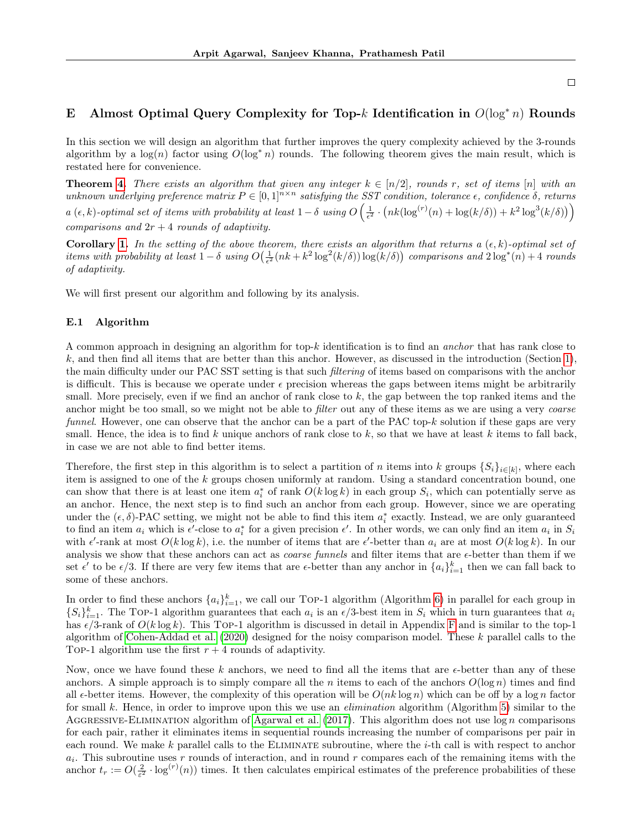## <span id="page-20-0"></span>E Almost Optimal Query Complexity for Top-k Identification in  $O(\log^* n)$  Rounds

In this section we will design an algorithm that further improves the query complexity achieved by the 3-rounds algorithm by a  $log(n)$  factor using  $O(log^* n)$  rounds. The following theorem gives the main result, which is restated here for convenience.

**Theorem [4.](#page-8-2)** There exists an algorithm that given any integer  $k \in [n/2]$ , rounds r, set of items [n] with an unknown underlying preference matrix  $P \in [0,1]^{n \times n}$  satisfying the SST condition, tolerance  $\epsilon$ , confidence  $\delta$ , returns  $a(\epsilon, k)$ -optimal set of items with probability at least  $1 - \delta$  using  $O\left(\frac{1}{\epsilon^2} \cdot \left(nk(\log^{(r)}(n) + \log(k/\delta)) + k^2\log^3(k/\delta)\right)\right)$ comparisons and  $2r + 4$  rounds of adaptivity.

Corollary [1.](#page-8-0) In the setting of the above theorem, there exists an algorithm that returns a  $(\epsilon, k)$ -optimal set of items with probability at least  $1-\delta$  using  $O(\frac{1}{\epsilon^2}(nk+k^2\log^2(k/\delta))\log(k/\delta))$  comparisons and  $2\log^*(n)+4$  rounds of adaptivity.

We will first present our algorithm and following by its analysis.

#### E.1 Algorithm

A common approach in designing an algorithm for top-k identification is to find an anchor that has rank close to k, and then find all items that are better than this anchor. However, as discussed in the introduction (Section [1\)](#page-0-1), the main difficulty under our PAC SST setting is that such *filtering* of items based on comparisons with the anchor is difficult. This is because we operate under  $\epsilon$  precision whereas the gaps between items might be arbitrarily small. More precisely, even if we find an anchor of rank close to k, the gap between the top ranked items and the anchor might be too small, so we might not be able to *filter* out any of these items as we are using a very *coarse* funnel. However, one can observe that the anchor can be a part of the PAC top-k solution if these gaps are very small. Hence, the idea is to find k unique anchors of rank close to  $k$ , so that we have at least k items to fall back, in case we are not able to find better items.

Therefore, the first step in this algorithm is to select a partition of n items into k groups  $\{S_i\}_{i\in[k]}$ , where each item is assigned to one of the k groups chosen uniformly at random. Using a standard concentration bound, one can show that there is at least one item  $a_i^*$  of rank  $O(k \log k)$  in each group  $S_i$ , which can potentially serve as an anchor. Hence, the next step is to find such an anchor from each group. However, since we are operating under the  $(\epsilon, \delta)$ -PAC setting, we might not be able to find this item  $a_i^*$  exactly. Instead, we are only guaranteed to find an item  $a_i$  which is  $\epsilon'$ -close to  $a_i^*$  for a given precision  $\epsilon'$ . In other words, we can only find an item  $a_i$  in  $S_i$ with  $\epsilon'$ -rank at most  $O(k \log k)$ , i.e. the number of items that are  $\epsilon'$ -better than  $a_i$  are at most  $O(k \log k)$ . In our analysis we show that these anchors can act as *coarse funnels* and filter items that are  $\epsilon$ -better than them if we set  $\epsilon'$  to be  $\epsilon/3$ . If there are very few items that are  $\epsilon$ -better than any anchor in  $\{a_i\}_{i=1}^k$  then we can fall back to some of these anchors.

In order to find these anchors  $\{a_i\}_{i=1}^k$ , we call our Top-1 algorithm (Algorithm [6\)](#page-25-0) in parallel for each group in  $\{S_i\}_{i=1}^k$ . The Top-1 algorithm guarantees that each  $a_i$  is an  $\epsilon/3$ -best item in  $S_i$  which in turn guarantees that  $a_i$ has  $\epsilon/3$ -rank of  $O(k \log k)$ . This Top-1 algorithm is discussed in detail in Appendix [F](#page-25-1) and is similar to the top-1 algorithm of [Cohen-Addad et al.](#page-9-0) [\(2020\)](#page-9-0) designed for the noisy comparison model. These k parallel calls to the TOP-1 algorithm use the first  $r + 4$  rounds of adaptivity.

Now, once we have found these k anchors, we need to find all the items that are  $\epsilon$ -better than any of these anchors. A simple approach is to simply compare all the n items to each of the anchors  $O(\log n)$  times and find all  $\epsilon$ -better items. However, the complexity of this operation will be  $O(nk \log n)$  which can be off by a log n factor for small k. Hence, in order to improve upon this we use an *elimination* algorithm (Algorithm [5\)](#page-21-0) similar to the AGGRESSIVE-ELIMINATION algorithm of [Agarwal et al.](#page-9-10)  $(2017)$ . This algorithm does not use  $\log n$  comparisons for each pair, rather it eliminates items in sequential rounds increasing the number of comparisons per pair in each round. We make k parallel calls to the ELIMINATE subroutine, where the  $i$ -th call is with respect to anchor  $a_i$ . This subroutine uses r rounds of interaction, and in round r compares each of the remaining items with the anchor  $t_r := O(\frac{2}{\varepsilon^2} \cdot \log^{(r)}(n))$  times. It then calculates empirical estimates of the preference probabilities of these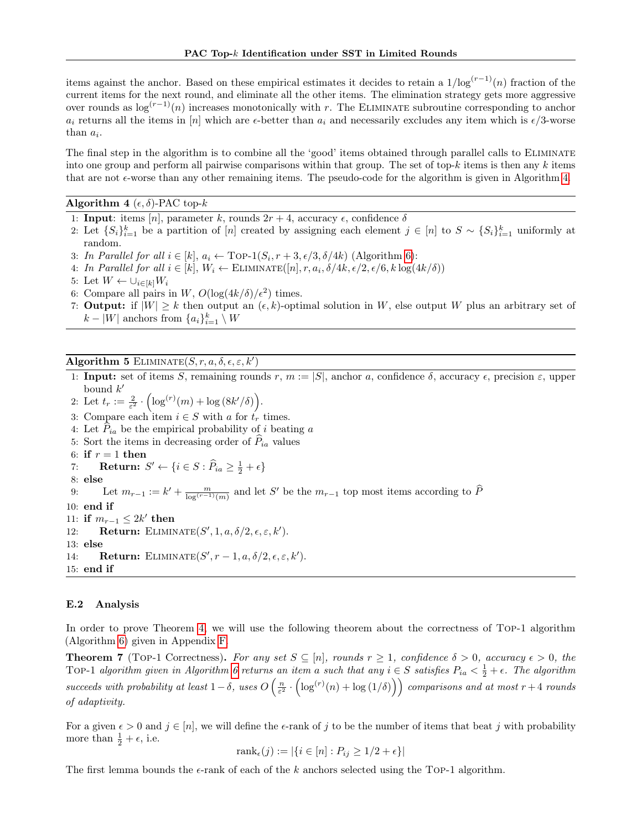items against the anchor. Based on these empirical estimates it decides to retain a  $1/\log^{(r-1)}(n)$  fraction of the current items for the next round, and eliminate all the other items. The elimination strategy gets more aggressive over rounds as  $\log^{(r-1)}(n)$  increases monotonically with r. The ELIMINATE subroutine corresponding to anchor  $a_i$  returns all the items in [n] which are  $\epsilon$ -better than  $a_i$  and necessarily excludes any item which is  $\epsilon/3$ -worse than  $a_i$ .

The final step in the algorithm is to combine all the 'good' items obtained through parallel calls to ELIMINATE into one group and perform all pairwise comparisons within that group. The set of top- $k$  items is then any  $k$  items that are not  $\epsilon$ -worse than any other remaining items. The pseudo-code for the algorithm is given in Algorithm [4.](#page-21-1)

#### <span id="page-21-1"></span>Algorithm 4 ( $\epsilon$ ,  $\delta$ )-PAC top- $k$

1: **Input:** items [n], parameter k, rounds  $2r + 4$ , accuracy  $\epsilon$ , confidence  $\delta$ 

- 2: Let  $\{S_i\}_{i=1}^k$  be a partition of  $[n]$  created by assigning each element  $j \in [n]$  to  $S \sim \{S_i\}_{i=1}^k$  uniformly at random.
- 3: In Parallel for all  $i \in [k]$ ,  $a_i \leftarrow \text{Top-1}(S_i, r+3, \epsilon/3, \delta/4k)$  (Algorithm [6\)](#page-25-0):
- 4: In Parallel for all  $i \in [k]$ ,  $W_i \leftarrow \text{ELIMINATE}([n], r, a_i, \delta/4k, \epsilon/2, \epsilon/6, k \log(4k/\delta))$
- 5: Let  $W \leftarrow \cup_{i \in [k]} W_i$
- 6: Compare all pairs in W,  $O(\log(4k/\delta)/\epsilon^2)$  times.
- 7: **Output:** if  $|W| \geq k$  then output an  $(\epsilon, k)$ -optimal solution in W, else output W plus an arbitrary set of  $k - |W|$  anchors from  $\{a_i\}_{i=1}^k \setminus W$

## <span id="page-21-0"></span>Algorithm 5 ELIMINATE $(S, r, a, \delta, \epsilon, \varepsilon, k')$

- 1: Input: set of items S, remaining rounds r,  $m := |S|$ , anchor a, confidence  $\delta$ , accuracy  $\epsilon$ , precision  $\varepsilon$ , upper bound  $k'$
- 2: Let  $t_r := \frac{2}{\varepsilon^2} \cdot \left( \log^{(r)}(m) + \log (8k'/\delta) \right)$ .

3: Compare each item  $i \in S$  with a for  $t<sub>r</sub>$  times.

- 4: Let  $P_{ia}$  be the empirical probability of i beating a
- 5: Sort the items in decreasing order of  $\hat{P}_{ia}$  values
- 6: if  $r = 1$  then

7: **Return:**  $S' \leftarrow \{i \in S : \widehat{P}_{ia} \geq \frac{1}{2} + \epsilon\}$ 

8: else

9: Let  $m_{r-1} := k' + \frac{m}{\log^{(r-1)}(m)}$  and let S' be the  $m_{r-1}$  top most items according to  $\widehat{P}$ 

10: end if

11: if  $m_{r-1} \leq 2k'$  then

12: **Return:** ELIMINATE $(S', 1, a, \delta/2, \epsilon, \epsilon, k')$ . 13: else

14: **Return:** ELIMINATE $(S', r-1, a, \delta/2, \epsilon, \epsilon, k')$ . 15: end if

#### E.2 Analysis

In order to prove Theorem [4,](#page-8-2) we will use the following theorem about the correctness of Top-1 algorithm (Algorithm [6\)](#page-25-0) given in Appendix [F.](#page-25-1)

<span id="page-21-2"></span>**Theorem 7** (TOP-1 Correctness). For any set  $S \subseteq [n]$ , rounds  $r \ge 1$ , confidence  $\delta > 0$ , accuracy  $\epsilon > 0$ , the TOP-1 algorithm given in Algorithm [6](#page-25-0) returns an item a such that any  $i \in S$  satisfies  $P_{ia} < \frac{1}{2} + \epsilon$ . The algorithm succeeds with probability at least  $1-\delta$ , uses  $O\left(\frac{n}{\varepsilon^2} \cdot \left(\log^{(r)}(n) + \log(1/\delta)\right)\right)$  comparisons and at most  $r+4$  rounds of adaptivity.

For a given  $\epsilon > 0$  and  $j \in [n]$ , we will define the  $\epsilon$ -rank of j to be the number of items that beat j with probability more than  $\frac{1}{2} + \epsilon$ , i.e.

$$
rank_{\epsilon}(j) := |\{i \in [n] : P_{ij} \ge 1/2 + \epsilon\}|
$$

The first lemma bounds the  $\epsilon$ -rank of each of the k anchors selected using the Top-1 algorithm.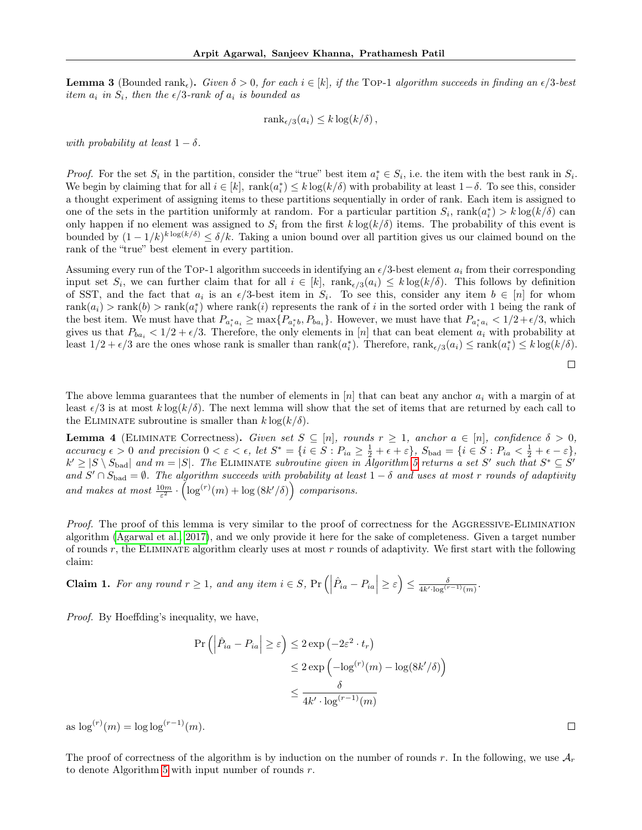<span id="page-22-2"></span>**Lemma 3** (Bounded rank,). Given  $\delta > 0$ , for each  $i \in [k]$ , if the TOP-1 algorithm succeeds in finding an  $\epsilon/3$ -best item  $a_i$  in  $S_i$ , then the  $\epsilon/3$ -rank of  $a_i$  is bounded as

$$
rank_{\epsilon/3}(a_i) \leq k \log(k/\delta),
$$

with probability at least  $1 - \delta$ .

*Proof.* For the set  $S_i$  in the partition, consider the "true" best item  $a_i^* \in S_i$ , i.e. the item with the best rank in  $S_i$ . We begin by claiming that for all  $i \in [k]$ ,  $\text{rank}(a_i^*) \leq k \log(k/\delta)$  with probability at least  $1-\delta$ . To see this, consider a thought experiment of assigning items to these partitions sequentially in order of rank. Each item is assigned to one of the sets in the partition uniformly at random. For a particular partition  $S_i$ ,  $rank(a_i^*) > k log(k/\delta)$  can only happen if no element was assigned to  $S_i$  from the first  $k \log(k/\delta)$  items. The probability of this event is bounded by  $(1 - 1/k)^{k \log(k/\delta)} \le \delta/k$ . Taking a union bound over all partition gives us our claimed bound on the rank of the "true" best element in every partition.

Assuming every run of the TOP-1 algorithm succeeds in identifying an  $\epsilon/3$ -best element  $a_i$  from their corresponding input set  $S_i$ , we can further claim that for all  $i \in [k]$ ,  $rank_{\epsilon/3}(a_i) \leq k \log(k/\delta)$ . This follows by definition of SST, and the fact that  $a_i$  is an  $\epsilon/3$ -best item in  $S_i$ . To see this, consider any item  $b \in [n]$  for whom  $rank(a_i) > rank(b) > rank(a_i^*)$  where  $rank(i)$  represents the rank of i in the sorted order with 1 being the rank of the best item. We must have that  $P_{a_i^*a_i} \ge \max\{P_{a_i^*b}, P_{ba_i}\}.$  However, we must have that  $P_{a_i^*a_i} < 1/2+\epsilon/3$ , which gives us that  $P_{ba_i} < 1/2 + \epsilon/3$ . Therefore, the only elements in [n] that can beat element  $a_i$  with probability at least  $1/2 + \epsilon/3$  are the ones whose rank is smaller than  $\text{rank}(a_i^*)$ . Therefore,  $\text{rank}_{\epsilon/3}(a_i) \leq \text{rank}(a_i^*) \leq k \log(k/\delta)$ .

$$
\Box
$$

 $\Box$ 

The above lemma guarantees that the number of elements in  $[n]$  that can beat any anchor  $a_i$  with a margin of at least  $\epsilon/3$  is at most  $k \log(k/\delta)$ . The next lemma will show that the set of items that are returned by each call to the ELIMINATE subroutine is smaller than  $k \log(k/\delta)$ .

<span id="page-22-1"></span>**Lemma 4** (ELIMINATE Correctness). Given set  $S \subseteq [n]$ , rounds  $r \geq 1$ , anchor  $a \in [n]$ , confidence  $\delta > 0$ ,  $accuracy \epsilon > 0$  and precision  $0 < \varepsilon < \epsilon$ , let  $S^* = \{i \in S : P_{ia} \ge \frac{1}{2} + \epsilon + \varepsilon\}$ ,  $S_{bad} = \{i \in S : P_{ia} < \frac{1}{2} + \epsilon - \varepsilon\}$ ,  $k' \ge |S \setminus S_{bad}|$  and  $m = |S|$ . The ELIMINATE subroutine given in Algorithm [5](#page-21-0) returns a set S' such that  $S^* \subseteq S'$ and  $S' \cap S_{bad} = \emptyset$ . The algorithm succeeds with probability at least  $1 - \delta$  and uses at most r rounds of adaptivity and makes at most  $\frac{10m}{\varepsilon^2} \cdot \left(\log^{(r)}(m) + \log(8k'/\delta)\right)$  comparisons.

Proof. The proof of this lemma is very similar to the proof of correctness for the AGGRESSIVE-ELIMINATION algorithm [\(Agarwal et al., 2017\)](#page-9-10), and we only provide it here for the sake of completeness. Given a target number of rounds r, the ELIMINATE algorithm clearly uses at most r rounds of adaptivity. We first start with the following claim:

<span id="page-22-0"></span>**Claim 1.** For any round 
$$
r \ge 1
$$
, and any item  $i \in S$ ,  $\Pr\left(\left|\hat{P}_{ia} - P_{ia}\right| \ge \varepsilon\right) \le \frac{\delta}{4k' \cdot \log^{(r-1)}(m)}$ .

Proof. By Hoeffding's inequality, we have,

$$
\Pr\left(\left|\hat{P}_{ia} - P_{ia}\right| \ge \varepsilon\right) \le 2 \exp\left(-2\varepsilon^2 \cdot t_r\right)
$$
  

$$
\le 2 \exp\left(-\log^{(r)}(m) - \log(8k'/\delta)\right)
$$
  

$$
\le \frac{\delta}{4k' \cdot \log^{(r-1)}(m)}
$$

as  $\log^{(r)}(m) = \log \log^{(r-1)}(m)$ .

The proof of correctness of the algorithm is by induction on the number of rounds r. In the following, we use  $A_r$ to denote Algorithm [5](#page-21-0) with input number of rounds  $r$ .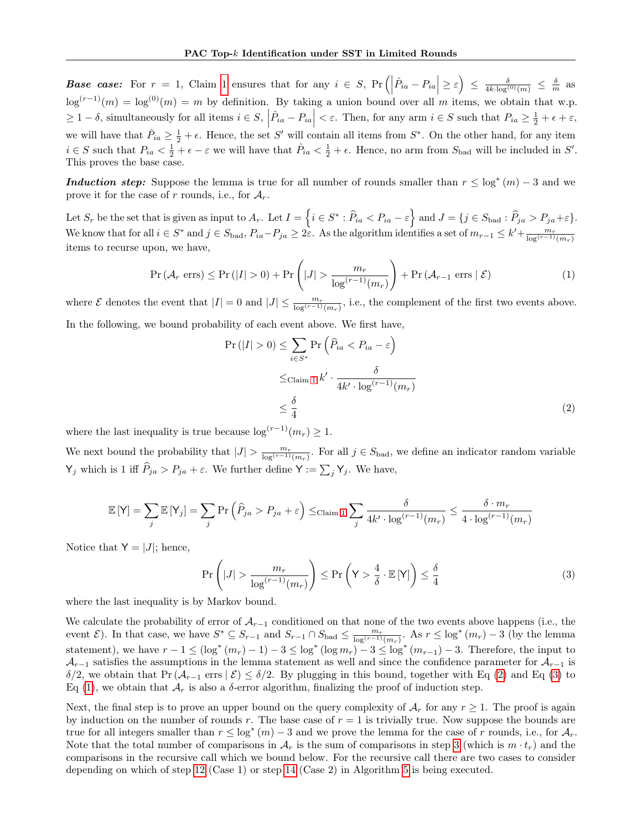**Base case:** For  $r = 1$  $r = 1$ , Claim 1 ensures that for any  $i \in S$ ,  $Pr\left(\left|\hat{P}_{ia} - P_{ia}\right| \geq \varepsilon\right) \leq \frac{\delta}{4k \cdot \log^{(0)}(m)} \leq \frac{\delta}{m}$  as  $\log^{(r-1)}(m) = \log^{(0)}(m) = m$  by definition. By taking a union bound over all m items, we obtain that w.p.  $\geq 1-\delta$ , simultaneously for all items  $i \in S$ ,  $\left| \hat{P}_{ia} - P_{ia} \right| < \varepsilon$ . Then, for any arm  $i \in S$  such that  $P_{ia} \geq \frac{1}{2} + \epsilon + \varepsilon$ , we will have that  $\hat{P}_{ia} \geq \frac{1}{2} + \epsilon$ . Hence, the set S' will contain all items from S<sup>\*</sup>. On the other hand, for any item  $i \in S$  such that  $P_{ia} < \frac{1}{2} + \epsilon - \epsilon$  we will have that  $\hat{P}_{ia} < \frac{1}{2} + \epsilon$ . Hence, no arm from  $S_{bad}$  will be included in  $S'$ . This proves the base case.

**Induction step:** Suppose the lemma is true for all number of rounds smaller than  $r \leq \log^*(m) - 3$  and we prove it for the case of r rounds, i.e., for  $A_r$ .

Let  $S_r$  be the set that is given as input to  $A_r$ . Let  $I = \left\{ i \in S^* : \widehat{P}_{ia} < P_{ia} - \varepsilon \right\}$  and  $J = \{ j \in S_{bad} : \widehat{P}_{ja} > P_{ja} + \varepsilon \}.$ We know that for all  $i \in S^*$  and  $j \in S_{bad}$ ,  $P_{ia} - P_{ja} \geq 2\varepsilon$ . As the algorithm identifies a set of  $m_{r-1} \leq k' + \frac{m_r}{\log^{(r-1)}(m_r)}$ items to recurse upon, we have,

$$
\Pr\left(\mathcal{A}_r \text{ errors}\right) \le \Pr\left(|I| > 0\right) + \Pr\left(|J| > \frac{m_r}{\log^{(r-1)}(m_r)}\right) + \Pr\left(\mathcal{A}_{r-1} \text{ errors} \mid \mathcal{E}\right) \tag{1}
$$

where  $\mathcal E$  denotes the event that  $|I|=0$  and  $|J| \leq \frac{m_r}{\log^{(r-1)}(m_r)}$ , i.e., the complement of the first two events above. In the following, we bound probability of each event above. We first have,

<span id="page-23-2"></span><span id="page-23-0"></span>
$$
\Pr(|I| > 0) \le \sum_{i \in S^*} \Pr\left(\widehat{P}_{ia} < P_{ia} - \varepsilon\right)
$$
\n
$$
\le \text{Claim 1 } k' \cdot \frac{\delta}{4k' \cdot \log^{(r-1)}(m_r)}
$$
\n
$$
\le \frac{\delta}{4} \tag{2}
$$

where the last inequality is true because  $\log^{(r-1)}(m_r) \geq 1$ .

We next bound the probability that  $|J| > \frac{m_r}{\log^{(r-1)}(m_r)}$ . For all  $j \in S_{bad}$ , we define an indicator random variable  $\mathsf{Y}_j$  which is 1 iff  $P_{ja} > P_{ja} + \varepsilon$ . We further define  $\mathsf{Y} := \sum_j \mathsf{Y}_j$ . We have,

$$
\mathbb{E}[\mathsf{Y}] = \sum_{j} \mathbb{E}[\mathsf{Y}_{j}] = \sum_{j} \Pr\left(\widehat{P}_{ja} > P_{ja} + \varepsilon\right) \leq \text{Claim 1} \sum_{j} \frac{\delta}{4k' \cdot \log^{(r-1)}(m_{r})} \leq \frac{\delta \cdot m_{r}}{4 \cdot \log^{(r-1)}(m_{r})}
$$

Notice that  $Y = |J|$ ; hence,

<span id="page-23-1"></span>
$$
\Pr\left(|J| > \frac{m_r}{\log^{(r-1)}(m_r)}\right) \le \Pr\left(\mathsf{Y} > \frac{4}{\delta} \cdot \mathbb{E}[\mathsf{Y}]\right) \le \frac{\delta}{4} \tag{3}
$$

where the last inequality is by Markov bound.

We calculate the probability of error of  $A_{r-1}$  conditioned on that none of the two events above happens (i.e., the event  $\mathcal{E}$ ). In that case, we have  $S^* \subseteq S_{r-1}$  and  $S_{r-1} \cap S_{bad} \leq \frac{m_r}{\log^{(r-1)}(m_r)}$ . As  $r \leq \log^*(m_r) - 3$  (by the lemma statement), we have  $r-1 \leq (\log^*(m_r)-1)-3 \leq \log^*(\log m_r)-3 \leq \log^*(m_{r-1})-3$ . Therefore, the input to  $A_{r-1}$  satisfies the assumptions in the lemma statement as well and since the confidence parameter for  $A_{r-1}$  is δ/2, we obtain that Pr( $A_{r-1}$  errs  $\mathcal{E}$ )  $\leq \delta/2$ . By plugging in this bound, together with Eq [\(2\)](#page-23-0) and Eq [\(3\)](#page-23-1) to Eq [\(1\)](#page-23-2), we obtain that  $\mathcal{A}_r$  is also a  $\delta$ -error algorithm, finalizing the proof of induction step.

Next, the final step is to prove an upper bound on the query complexity of  $A_r$  for any  $r \geq 1$ . The proof is again by induction on the number of rounds r. The base case of  $r = 1$  is trivially true. Now suppose the bounds are true for all integers smaller than  $r \leq \log^*(m) - 3$  and we prove the lemma for the case of r rounds, i.e., for  $\mathcal{A}_r$ . Note that the total number of comparisons in  $\mathcal{A}_r$  is the sum of comparisons in step [3](#page-21-0) (which is  $m \cdot t_r$ ) and the comparisons in the recursive call which we bound below. For the recursive call there are two cases to consider depending on which of step [12](#page-21-0) (Case 1) or step [14](#page-21-0) (Case 2) in Algorithm [5](#page-21-0) is being executed.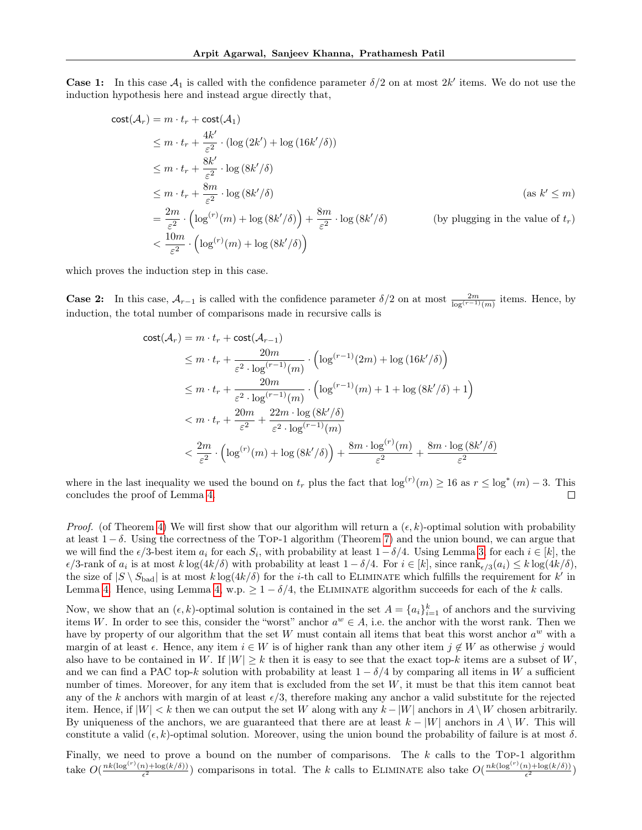**Case 1:** In this case  $A_1$  is called with the confidence parameter  $\delta/2$  on at most  $2k'$  items. We do not use the induction hypothesis here and instead argue directly that,

$$
\begin{aligned}\n\text{cost}(\mathcal{A}_r) &= m \cdot t_r + \text{cost}(\mathcal{A}_1) \\
&\le m \cdot t_r + \frac{4k'}{\varepsilon^2} \cdot (\log(2k') + \log(16k'/\delta)) \\
&\le m \cdot t_r + \frac{8k'}{\varepsilon^2} \cdot \log(8k'/\delta) \\
&\le m \cdot t_r + \frac{8m}{\varepsilon^2} \cdot \log(8k'/\delta) \\
&= \frac{2m}{\varepsilon^2} \cdot \left( \log^{(r)}(m) + \log(8k'/\delta) \right) + \frac{8m}{\varepsilon^2} \cdot \log(8k'/\delta) \qquad \text{(by plugging in the value of } t_r) \\
&< \frac{10m}{\varepsilon^2} \cdot \left( \log^{(r)}(m) + \log(8k'/\delta) \right)\n\end{aligned}
$$

which proves the induction step in this case.

**Case 2:** In this case,  $\mathcal{A}_{r-1}$  is called with the confidence parameter  $\delta/2$  on at most  $\frac{2m}{\log^{(r-1)}(m)}$  items. Hence, by induction, the total number of comparisons made in recursive calls is

$$
\begin{split} & \text{cost}(\mathcal{A}_{r}) = m \cdot t_{r} + \text{cost}(\mathcal{A}_{r-1}) \\ & \leq m \cdot t_{r} + \frac{20m}{\varepsilon^{2} \cdot \log^{(r-1)}(m)} \cdot \left( \log^{(r-1)}(2m) + \log\left(16k'/\delta\right) \right) \\ & \leq m \cdot t_{r} + \frac{20m}{\varepsilon^{2} \cdot \log^{(r-1)}(m)} \cdot \left( \log^{(r-1)}(m) + 1 + \log\left(8k'/\delta\right) + 1 \right) \\ & < m \cdot t_{r} + \frac{20m}{\varepsilon^{2}} + \frac{22m \cdot \log\left(8k'/\delta\right)}{\varepsilon^{2} \cdot \log^{(r-1)}(m)} \\ & < \frac{2m}{\varepsilon^{2}} \cdot \left( \log^{(r)}(m) + \log\left(8k'/\delta\right) \right) + \frac{8m \cdot \log^{(r)}(m)}{\varepsilon^{2}} + \frac{8m \cdot \log\left(8k'/\delta\right)}{\varepsilon^{2}} \end{split}
$$

where in the last inequality we used the bound on  $t_r$  plus the fact that  $\log^{(r)}(m) \geq 16$  as  $r \leq \log^*(m) - 3$ . This concludes the proof of Lemma [4.](#page-22-1)  $\Box$ 

*Proof.* (of Theorem [4\)](#page-8-2) We will first show that our algorithm will return a  $(\epsilon, k)$ -optimal solution with probability at least  $1 - \delta$ . Using the correctness of the TOP-1 algorithm (Theorem [7\)](#page-21-2) and the union bound, we can argue that we will find the  $\epsilon/3$ -best item  $a_i$  for each  $S_i$ , with probability at least  $1-\delta/4$ . Using Lemma [3,](#page-22-2) for each  $i \in [k]$ , the  $\epsilon/3$ -rank of  $a_i$  is at most  $k \log(4k/\delta)$  with probability at least  $1 - \delta/4$ . For  $i \in [k]$ , since  $\text{rank}_{\epsilon/3}(a_i) \leq k \log(4k/\delta)$ , the size of  $|S \setminus S_{bad}|$  is at most  $k \log(4k/\delta)$  for the *i*-th call to ELIMINATE which fulfills the requirement for  $k'$  in Lemma [4.](#page-22-1) Hence, using Lemma [4,](#page-22-1) w.p.  $\geq 1 - \delta/4$ , the ELIMINATE algorithm succeeds for each of the k calls.

Now, we show that an  $(\epsilon, k)$ -optimal solution is contained in the set  $A = \{a_i\}_{i=1}^k$  of anchors and the surviving items W. In order to see this, consider the "worst" anchor  $a^w \in A$ , i.e. the anchor with the worst rank. Then we have by property of our algorithm that the set W must contain all items that beat this worst anchor  $a^w$  with a margin of at least  $\epsilon$ . Hence, any item  $i \in W$  is of higher rank than any other item  $j \notin W$  as otherwise j would also have to be contained in W. If  $|W| \geq k$  then it is easy to see that the exact top-k items are a subset of W, and we can find a PAC top-k solution with probability at least  $1 - \delta/4$  by comparing all items in W a sufficient number of times. Moreover, for any item that is excluded from the set  $W$ , it must be that this item cannot beat any of the k anchors with margin of at least  $\epsilon/3$ , therefore making any anchor a valid substitute for the rejected item. Hence, if  $|W| < k$  then we can output the set W along with any  $k - |W|$  anchors in  $A \setminus W$  chosen arbitrarily. By uniqueness of the anchors, we are guaranteed that there are at least  $k - |W|$  anchors in  $A \setminus W$ . This will constitute a valid  $(\epsilon, k)$ -optimal solution. Moreover, using the union bound the probability of failure is at most  $\delta$ .

Finally, we need to prove a bound on the number of comparisons. The  $k$  calls to the Top-1 algorithm take  $O(\frac{nk(\log^{(r)}(n)+\log(k/\delta))}{\epsilon^2})$  $\frac{2}{\epsilon^2}$  ( $\frac{2}{\epsilon^2}$ ) comparisons in total. The k calls to ELIMINATE also take  $O(\frac{nk(\log(r)(n)+\log(k/\delta))}{\epsilon^2})$  $\frac{\binom{n}{2} + \log(k/\delta)}{2}$